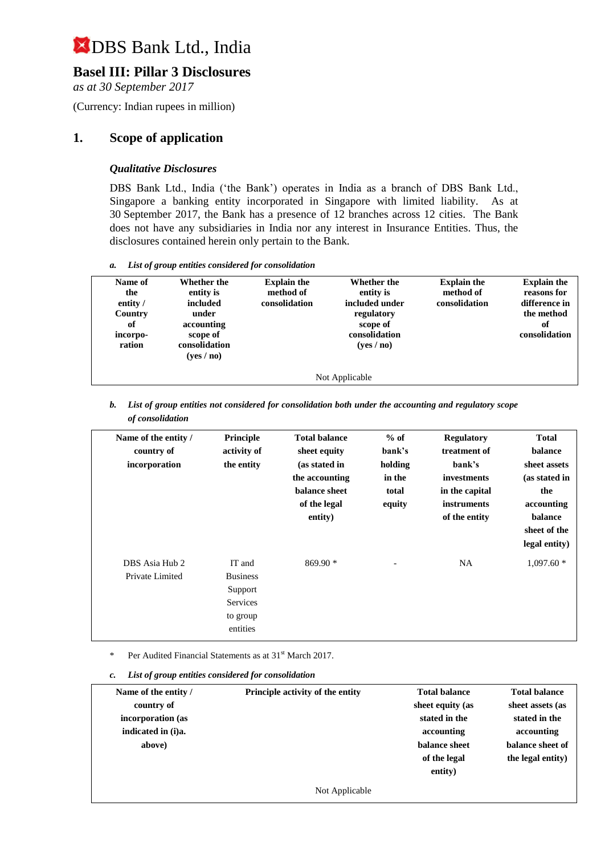## **Basel III: Pillar 3 Disclosures**

*as at 30 September 2017*

(Currency: Indian rupees in million)

### **1. Scope of application**

#### *Qualitative Disclosures*

DBS Bank Ltd., India ('the Bank') operates in India as a branch of DBS Bank Ltd., Singapore a banking entity incorporated in Singapore with limited liability. As at 30 September 2017, the Bank has a presence of 12 branches across 12 cities. The Bank does not have any subsidiaries in India nor any interest in Insurance Entities. Thus, the disclosures contained herein only pertain to the Bank.

*a. List of group entities considered for consolidation*

| Name of<br>the<br>entity /<br>Country<br>of<br>incorpo-<br>ration | Whether the<br>entity is<br>included<br>under<br>accounting<br>scope of<br>consolidation<br>(yes / no) | <b>Explain the</b><br>method of<br>consolidation | <b>Whether the</b><br>entity is<br>included under<br>regulatory<br>scope of<br>consolidation<br>(yes/no) | <b>Explain the</b><br>method of<br>consolidation | <b>Explain the</b><br>reasons for<br>difference in<br>the method<br>оf<br>consolidation |  |
|-------------------------------------------------------------------|--------------------------------------------------------------------------------------------------------|--------------------------------------------------|----------------------------------------------------------------------------------------------------------|--------------------------------------------------|-----------------------------------------------------------------------------------------|--|
| Not Applicable                                                    |                                                                                                        |                                                  |                                                                                                          |                                                  |                                                                                         |  |

*b. List of group entities not considered for consolidation both under the accounting and regulatory scope of consolidation*

| Name of the entity /<br>country of<br>incorporation | Principle<br>activity of<br>the entity                                   | <b>Total balance</b><br>sheet equity<br>(as stated in<br>the accounting<br>balance sheet<br>of the legal<br>entity) | $%$ of<br>bank's<br>holding<br>in the<br>total<br>equity | <b>Regulatory</b><br>treatment of<br>bank's<br>investments<br>in the capital<br><i>instruments</i><br>of the entity | <b>Total</b><br>balance<br>sheet assets<br>(as stated in<br>the<br>accounting<br>balance<br>sheet of the<br>legal entity) |
|-----------------------------------------------------|--------------------------------------------------------------------------|---------------------------------------------------------------------------------------------------------------------|----------------------------------------------------------|---------------------------------------------------------------------------------------------------------------------|---------------------------------------------------------------------------------------------------------------------------|
| DBS Asia Hub 2<br>Private Limited                   | IT and<br><b>Business</b><br>Support<br>Services<br>to group<br>entities | $869.90*$                                                                                                           |                                                          | <b>NA</b>                                                                                                           | $1,097.60*$                                                                                                               |

Per Audited Financial Statements as at 31<sup>st</sup> March 2017.

*c. List of group entities considered for consolidation*

| Name of the entity / | Principle activity of the entity | <b>Total balance</b> | <b>Total balance</b> |
|----------------------|----------------------------------|----------------------|----------------------|
| country of           |                                  | sheet equity (as     | sheet assets (as     |
| incorporation (as    |                                  | stated in the        | stated in the        |
| indicated in (i)a.   |                                  | accounting           | accounting           |
| above)               |                                  | balance sheet        | balance sheet of     |
|                      |                                  | of the legal         | the legal entity)    |
|                      |                                  | entity)              |                      |
|                      | Not Applicable                   |                      |                      |
|                      |                                  |                      |                      |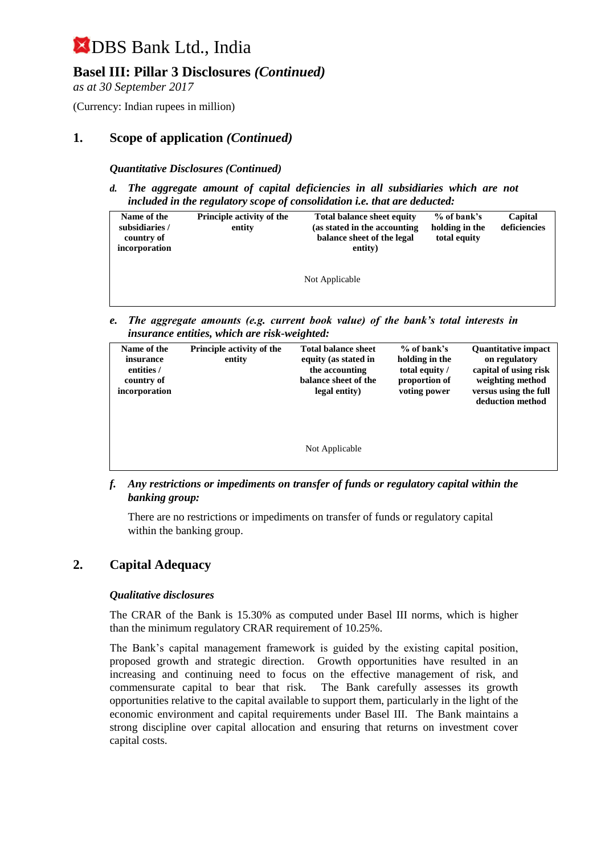## **Basel III: Pillar 3 Disclosures** *(Continued)*

*as at 30 September 2017*

(Currency: Indian rupees in million)

### **1. Scope of application** *(Continued)*

#### *Quantitative Disclosures (Continued)*

*d. The aggregate amount of capital deficiencies in all subsidiaries which are not included in the regulatory scope of consolidation i.e. that are deducted:*

| Name of the    | <b>Principle activity of the</b> | <b>Total balance sheet equity</b> | $%$ of bank's  | Capital      |
|----------------|----------------------------------|-----------------------------------|----------------|--------------|
| subsidiaries / | entity                           | (as stated in the accounting      | holding in the | deficiencies |
| country of     |                                  | balance sheet of the legal        | total equity   |              |
| incorporation  |                                  | entity)                           |                |              |
|                |                                  |                                   |                |              |
|                |                                  |                                   |                |              |
|                |                                  | Not Applicable                    |                |              |
|                |                                  |                                   |                |              |
|                |                                  |                                   |                |              |

*e. The aggregate amounts (e.g. current book value) of the bank's total interests in insurance entities, which are risk-weighted:*

| Name of the<br>insurance<br>entities /<br>country of<br>incorporation | <b>Principle activity of the</b><br>entity | <b>Total balance sheet</b><br>equity (as stated in<br>the accounting<br>balance sheet of the<br>legal entity) | $%$ of bank's<br>holding in the<br>total equity /<br>proportion of<br>voting power | <b>Quantitative impact</b><br>on regulatory<br>capital of using risk<br>weighting method<br>versus using the full<br>deduction method |
|-----------------------------------------------------------------------|--------------------------------------------|---------------------------------------------------------------------------------------------------------------|------------------------------------------------------------------------------------|---------------------------------------------------------------------------------------------------------------------------------------|
|                                                                       |                                            | Not Applicable                                                                                                |                                                                                    |                                                                                                                                       |

*f. Any restrictions or impediments on transfer of funds or regulatory capital within the banking group:*

There are no restrictions or impediments on transfer of funds or regulatory capital within the banking group.

#### **2. Capital Adequacy**

#### *Qualitative disclosures*

The CRAR of the Bank is 15.30% as computed under Basel III norms, which is higher than the minimum regulatory CRAR requirement of 10.25%.

The Bank's capital management framework is guided by the existing capital position, proposed growth and strategic direction. Growth opportunities have resulted in an increasing and continuing need to focus on the effective management of risk, and commensurate capital to bear that risk. The Bank carefully assesses its growth opportunities relative to the capital available to support them, particularly in the light of the economic environment and capital requirements under Basel III. The Bank maintains a strong discipline over capital allocation and ensuring that returns on investment cover capital costs.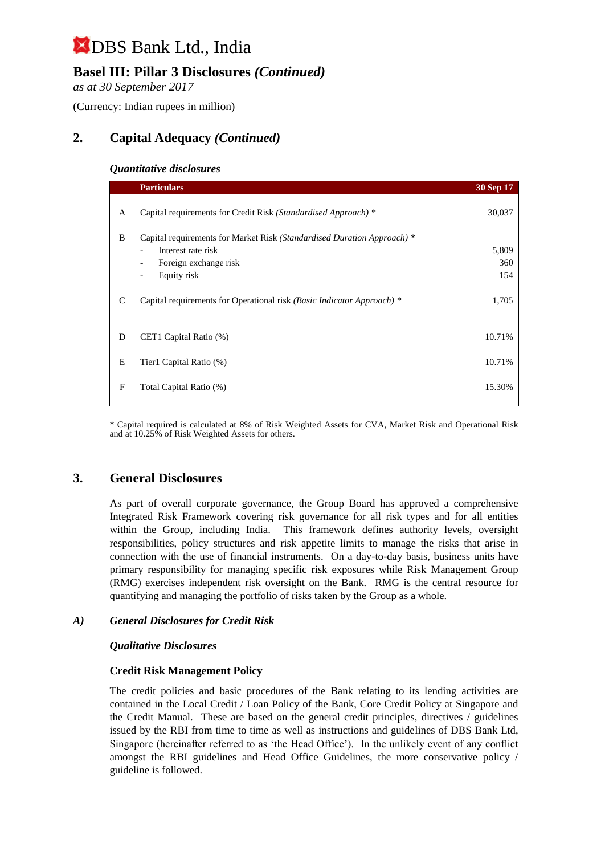## **Basel III: Pillar 3 Disclosures** *(Continued)*

*as at 30 September 2017*

(Currency: Indian rupees in million)

## **2. Capital Adequacy** *(Continued)*

#### *Quantitative disclosures*

|   | <b>Particulars</b>                                                      | 30 Sep 17 |
|---|-------------------------------------------------------------------------|-----------|
| A | Capital requirements for Credit Risk (Standardised Approach) *          | 30,037    |
| B | Capital requirements for Market Risk (Standardised Duration Approach) * |           |
|   | Interest rate risk                                                      | 5,809     |
|   | Foreign exchange risk                                                   | 360       |
|   | Equity risk<br>$\qquad \qquad \blacksquare$                             | 154       |
| C | Capital requirements for Operational risk (Basic Indicator Approach) *  | 1,705     |
| D | CET1 Capital Ratio (%)                                                  | 10.71%    |
|   |                                                                         |           |
| E | Tier1 Capital Ratio (%)                                                 | 10.71%    |
| F | Total Capital Ratio (%)                                                 | 15.30%    |

\* Capital required is calculated at 8% of Risk Weighted Assets for CVA, Market Risk and Operational Risk and at 10.25% of Risk Weighted Assets for others.

### **3. General Disclosures**

As part of overall corporate governance, the Group Board has approved a comprehensive Integrated Risk Framework covering risk governance for all risk types and for all entities within the Group, including India. This framework defines authority levels, oversight responsibilities, policy structures and risk appetite limits to manage the risks that arise in connection with the use of financial instruments. On a day-to-day basis, business units have primary responsibility for managing specific risk exposures while Risk Management Group (RMG) exercises independent risk oversight on the Bank. RMG is the central resource for quantifying and managing the portfolio of risks taken by the Group as a whole.

#### *A) General Disclosures for Credit Risk*

#### *Qualitative Disclosures*

#### **Credit Risk Management Policy**

The credit policies and basic procedures of the Bank relating to its lending activities are contained in the Local Credit / Loan Policy of the Bank, Core Credit Policy at Singapore and the Credit Manual. These are based on the general credit principles, directives / guidelines issued by the RBI from time to time as well as instructions and guidelines of DBS Bank Ltd, Singapore (hereinafter referred to as 'the Head Office'). In the unlikely event of any conflict amongst the RBI guidelines and Head Office Guidelines, the more conservative policy / guideline is followed.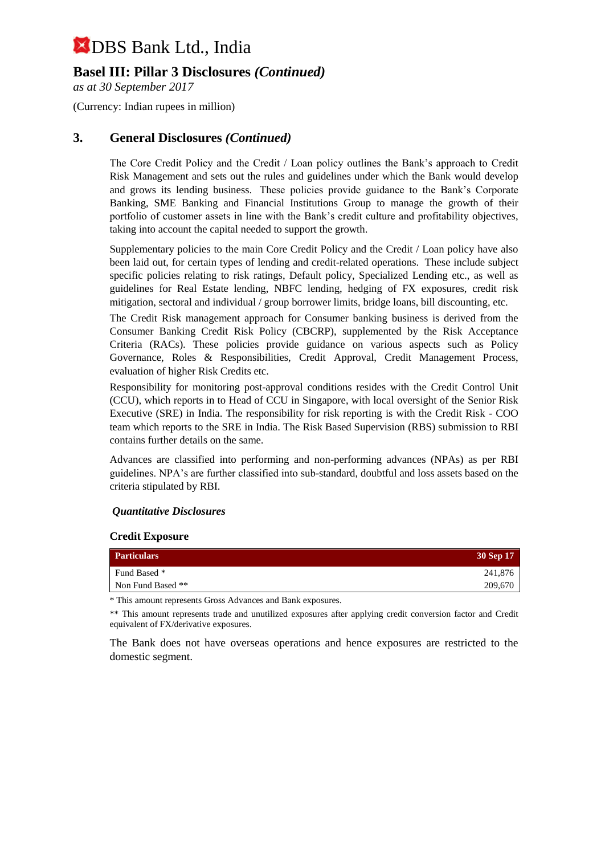### **Basel III: Pillar 3 Disclosures** *(Continued)*

*as at 30 September 2017*

(Currency: Indian rupees in million)

#### **3. General Disclosures** *(Continued)*

The Core Credit Policy and the Credit / Loan policy outlines the Bank's approach to Credit Risk Management and sets out the rules and guidelines under which the Bank would develop and grows its lending business. These policies provide guidance to the Bank's Corporate Banking, SME Banking and Financial Institutions Group to manage the growth of their portfolio of customer assets in line with the Bank's credit culture and profitability objectives, taking into account the capital needed to support the growth.

Supplementary policies to the main Core Credit Policy and the Credit / Loan policy have also been laid out, for certain types of lending and credit-related operations. These include subject specific policies relating to risk ratings, Default policy, Specialized Lending etc., as well as guidelines for Real Estate lending, NBFC lending, hedging of FX exposures, credit risk mitigation, sectoral and individual / group borrower limits, bridge loans, bill discounting, etc.

The Credit Risk management approach for Consumer banking business is derived from the Consumer Banking Credit Risk Policy (CBCRP), supplemented by the Risk Acceptance Criteria (RACs). These policies provide guidance on various aspects such as Policy Governance, Roles & Responsibilities, Credit Approval, Credit Management Process, evaluation of higher Risk Credits etc.

Responsibility for monitoring post-approval conditions resides with the Credit Control Unit (CCU), which reports in to Head of CCU in Singapore, with local oversight of the Senior Risk Executive (SRE) in India. The responsibility for risk reporting is with the Credit Risk - COO team which reports to the SRE in India. The Risk Based Supervision (RBS) submission to RBI contains further details on the same.

Advances are classified into performing and non-performing advances (NPAs) as per RBI guidelines. NPA's are further classified into sub-standard, doubtful and loss assets based on the criteria stipulated by RBI.

#### *Quantitative Disclosures*

#### **Credit Exposure**

| <b>Particulars</b> | 30 Sep 17 |
|--------------------|-----------|
| Fund Based *       | 241,876   |
| Non Fund Based **  | 209,670   |

\* This amount represents Gross Advances and Bank exposures.

\*\* This amount represents trade and unutilized exposures after applying credit conversion factor and Credit equivalent of FX/derivative exposures.

The Bank does not have overseas operations and hence exposures are restricted to the domestic segment.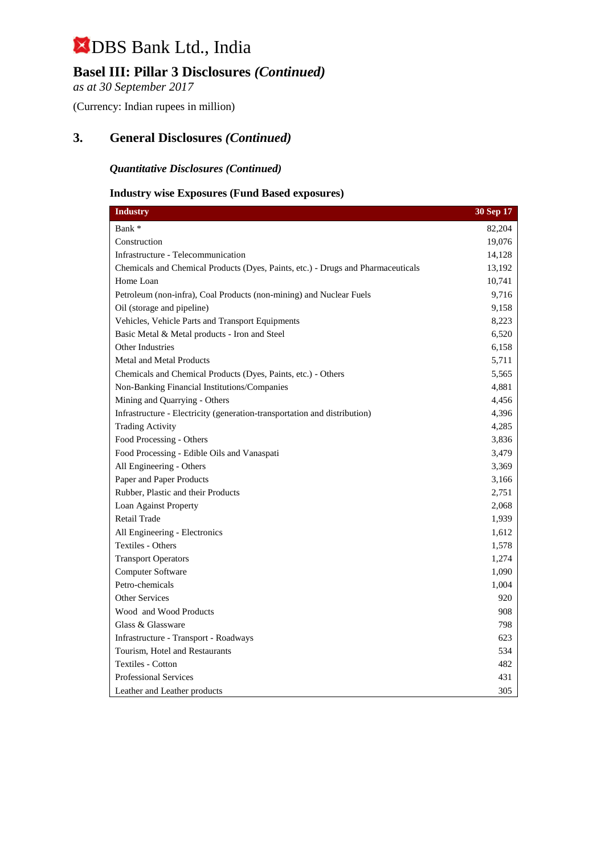## **Basel III: Pillar 3 Disclosures** *(Continued)*

*as at 30 September 2017*

(Currency: Indian rupees in million)

## **3. General Disclosures** *(Continued)*

#### *Quantitative Disclosures (Continued)*

#### **Industry wise Exposures (Fund Based exposures)**

| <b>Industry</b>                                                                  | 30 Sep 17 |
|----------------------------------------------------------------------------------|-----------|
| Bank *                                                                           | 82,204    |
| Construction                                                                     | 19,076    |
| Infrastructure - Telecommunication                                               | 14,128    |
| Chemicals and Chemical Products (Dyes, Paints, etc.) - Drugs and Pharmaceuticals | 13,192    |
| Home Loan                                                                        | 10,741    |
| Petroleum (non-infra), Coal Products (non-mining) and Nuclear Fuels              | 9,716     |
| Oil (storage and pipeline)                                                       | 9,158     |
| Vehicles, Vehicle Parts and Transport Equipments                                 | 8,223     |
| Basic Metal & Metal products - Iron and Steel                                    | 6,520     |
| Other Industries                                                                 | 6,158     |
| Metal and Metal Products                                                         | 5,711     |
| Chemicals and Chemical Products (Dyes, Paints, etc.) - Others                    | 5,565     |
| Non-Banking Financial Institutions/Companies                                     | 4,881     |
| Mining and Quarrying - Others                                                    | 4,456     |
| Infrastructure - Electricity (generation-transportation and distribution)        | 4,396     |
| <b>Trading Activity</b>                                                          | 4,285     |
| Food Processing - Others                                                         | 3,836     |
| Food Processing - Edible Oils and Vanaspati                                      | 3,479     |
| All Engineering - Others                                                         | 3,369     |
| Paper and Paper Products                                                         | 3,166     |
| Rubber, Plastic and their Products                                               | 2,751     |
| Loan Against Property                                                            | 2,068     |
| Retail Trade                                                                     | 1,939     |
| All Engineering - Electronics                                                    | 1,612     |
| <b>Textiles - Others</b>                                                         | 1,578     |
| <b>Transport Operators</b>                                                       | 1,274     |
| Computer Software                                                                | 1,090     |
| Petro-chemicals                                                                  | 1,004     |
| <b>Other Services</b>                                                            | 920       |
| Wood and Wood Products                                                           | 908       |
| Glass & Glassware                                                                | 798       |
| Infrastructure - Transport - Roadways                                            | 623       |
| Tourism. Hotel and Restaurants                                                   | 534       |
| <b>Textiles - Cotton</b>                                                         | 482       |
| <b>Professional Services</b>                                                     | 431       |
| Leather and Leather products                                                     | 305       |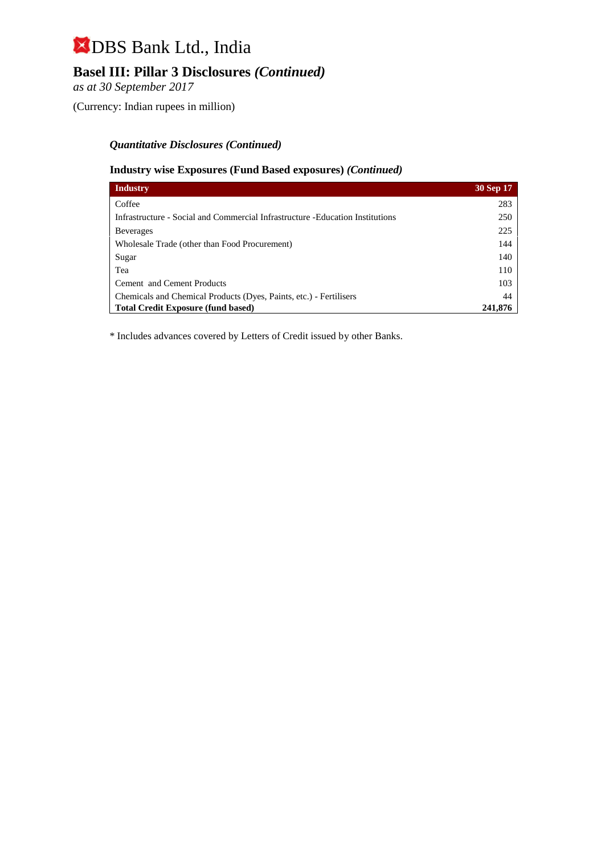## **Basel III: Pillar 3 Disclosures** *(Continued)*

*as at 30 September 2017*

(Currency: Indian rupees in million)

#### *Quantitative Disclosures (Continued)*

#### **Industry wise Exposures (Fund Based exposures)** *(Continued)*

| <b>Industry</b>                                                                | 30 Sep 17 |
|--------------------------------------------------------------------------------|-----------|
| Coffee                                                                         | 283       |
| Infrastructure - Social and Commercial Infrastructure - Education Institutions | 250       |
| <b>Beverages</b>                                                               | 225       |
| Wholesale Trade (other than Food Procurement)                                  | 144       |
| Sugar                                                                          | 140       |
| Tea                                                                            | 110       |
| Cement and Cement Products                                                     | 103       |
| Chemicals and Chemical Products (Dyes, Paints, etc.) - Fertilisers             | 44        |
| <b>Total Credit Exposure (fund based)</b>                                      | 241,876   |

\* Includes advances covered by Letters of Credit issued by other Banks.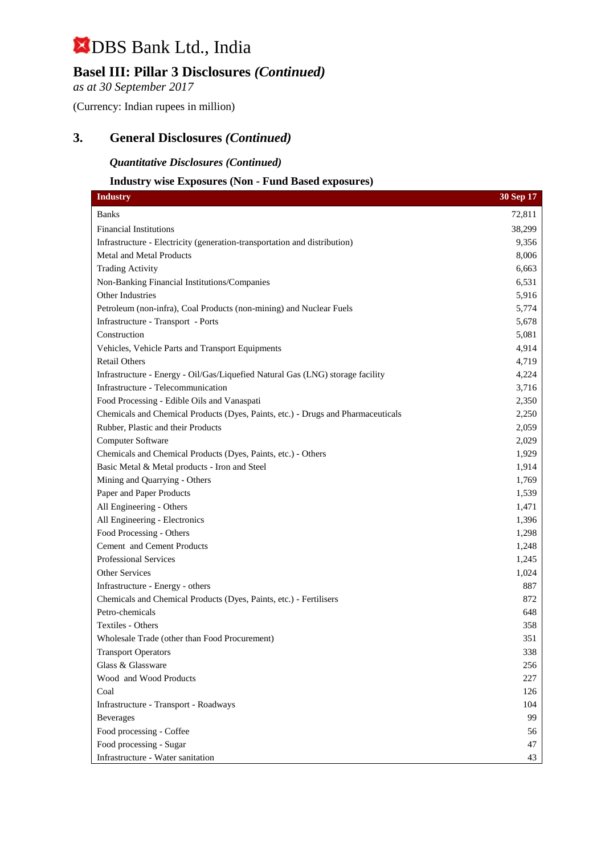## **Basel III: Pillar 3 Disclosures** *(Continued)*

*as at 30 September 2017*

(Currency: Indian rupees in million)

### **3. General Disclosures** *(Continued)*

#### *Quantitative Disclosures (Continued)*

#### **Industry wise Exposures (Non - Fund Based exposures)**

| <b>Industry</b>                                                                  | 30 Sep 17 |
|----------------------------------------------------------------------------------|-----------|
| <b>Banks</b>                                                                     | 72,811    |
| <b>Financial Institutions</b>                                                    | 38,299    |
| Infrastructure - Electricity (generation-transportation and distribution)        | 9,356     |
| Metal and Metal Products                                                         | 8,006     |
| <b>Trading Activity</b>                                                          | 6,663     |
| Non-Banking Financial Institutions/Companies                                     | 6,531     |
| Other Industries                                                                 | 5,916     |
| Petroleum (non-infra), Coal Products (non-mining) and Nuclear Fuels              | 5,774     |
| Infrastructure - Transport - Ports                                               | 5,678     |
| Construction                                                                     | 5,081     |
| Vehicles, Vehicle Parts and Transport Equipments                                 | 4,914     |
| <b>Retail Others</b>                                                             | 4,719     |
| Infrastructure - Energy - Oil/Gas/Liquefied Natural Gas (LNG) storage facility   | 4,224     |
| Infrastructure - Telecommunication                                               | 3,716     |
| Food Processing - Edible Oils and Vanaspati                                      | 2,350     |
| Chemicals and Chemical Products (Dyes, Paints, etc.) - Drugs and Pharmaceuticals | 2,250     |
| Rubber, Plastic and their Products                                               | 2,059     |
| Computer Software                                                                | 2,029     |
| Chemicals and Chemical Products (Dyes, Paints, etc.) - Others                    | 1,929     |
| Basic Metal & Metal products - Iron and Steel                                    | 1,914     |
| Mining and Quarrying - Others                                                    | 1,769     |
| Paper and Paper Products                                                         | 1,539     |
| All Engineering - Others                                                         | 1,471     |
| All Engineering - Electronics                                                    | 1,396     |
| Food Processing - Others                                                         | 1,298     |
| Cement and Cement Products                                                       | 1,248     |
| <b>Professional Services</b>                                                     | 1,245     |
| Other Services                                                                   | 1,024     |
| Infrastructure - Energy - others                                                 | 887       |
| Chemicals and Chemical Products (Dyes, Paints, etc.) - Fertilisers               | 872       |
| Petro-chemicals                                                                  | 648       |
| Textiles - Others                                                                | 358       |
| Wholesale Trade (other than Food Procurement)                                    | 351       |
| <b>Transport Operators</b>                                                       | 338       |
| Glass & Glassware                                                                | 256       |
| Wood and Wood Products                                                           | 227       |
| Coal                                                                             | 126       |
| Infrastructure - Transport - Roadways                                            | 104       |
| <b>Beverages</b>                                                                 | 99        |
| Food processing - Coffee                                                         | 56        |
| Food processing - Sugar                                                          | 47        |
| Infrastructure - Water sanitation                                                | 43        |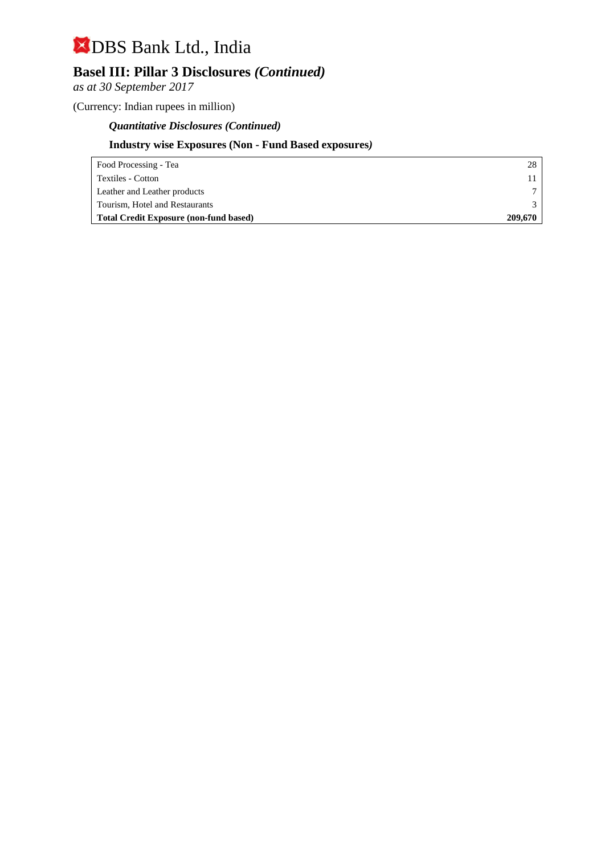## **Basel III: Pillar 3 Disclosures** *(Continued)*

*as at 30 September 2017*

(Currency: Indian rupees in million)

### *Quantitative Disclosures (Continued)*

### **Industry wise Exposures (Non - Fund Based exposures***)*

| Food Processing - Tea                         | 28      |
|-----------------------------------------------|---------|
| Textiles - Cotton                             |         |
| Leather and Leather products                  |         |
| Tourism, Hotel and Restaurants                |         |
| <b>Total Credit Exposure (non-fund based)</b> | 209,670 |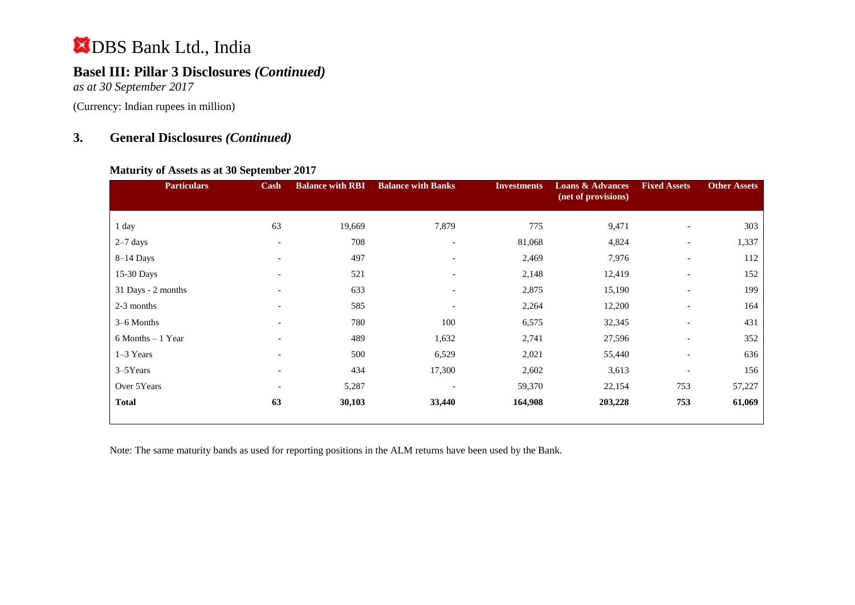## **Basel III: Pillar 3 Disclosures** *(Continued)*

*as at 30 September 2017*

(Currency: Indian rupees in million)

## **3. General Disclosures** *(Continued)*

#### **Maturity of Assets as at 30 September 2017**

| <b>Particulars</b> | Cash                     | <b>Balance with RBI</b> | <b>Balance with Banks</b> | <b>Investments</b> | <b>Loans &amp; Advances</b><br>(net of provisions) | <b>Fixed Assets</b>      | <b>Other Assets</b> |
|--------------------|--------------------------|-------------------------|---------------------------|--------------------|----------------------------------------------------|--------------------------|---------------------|
| 1 day              | 63                       | 19,669                  | 7,879                     | 775                | 9,471                                              | $\overline{\phantom{0}}$ | 303                 |
| $2-7$ days         | $\overline{\phantom{a}}$ | 708                     | $\overline{\phantom{a}}$  | 81,068             | 4,824                                              | $\overline{\phantom{a}}$ | 1,337               |
| $8-14$ Days        | $\overline{\phantom{a}}$ | 497                     | $\overline{\phantom{0}}$  | 2,469              | 7,976                                              | $\overline{\phantom{a}}$ | 112                 |
| 15-30 Days         | $\overline{\phantom{a}}$ | 521                     | $\overline{\phantom{0}}$  | 2,148              | 12,419                                             | $\overline{\phantom{a}}$ | 152                 |
| 31 Days - 2 months | $\overline{\phantom{a}}$ | 633                     |                           | 2,875              | 15,190                                             | $\overline{\phantom{a}}$ | 199                 |
| 2-3 months         | $\overline{\phantom{0}}$ | 585                     |                           | 2,264              | 12,200                                             | $\overline{\phantom{a}}$ | 164                 |
| 3–6 Months         |                          | 780                     | 100                       | 6,575              | 32,345                                             | $\overline{\phantom{a}}$ | 431                 |
| 6 Months - 1 Year  | $\overline{\phantom{a}}$ | 489                     | 1,632                     | 2,741              | 27,596                                             | $\overline{\phantom{a}}$ | 352                 |
| $1-3$ Years        | $\overline{a}$           | 500                     | 6,529                     | 2,021              | 55,440                                             | $\overline{\phantom{a}}$ | 636                 |
| 3–5Years           | $\overline{\phantom{a}}$ | 434                     | 17,300                    | 2,602              | 3,613                                              | $\overline{\phantom{a}}$ | 156                 |
| Over 5Years        | $\overline{\phantom{a}}$ | 5,287                   |                           | 59,370             | 22,154                                             | 753                      | 57,227              |
| <b>Total</b>       | 63                       | 30,103                  | 33,440                    | 164,908            | 203,228                                            | 753                      | 61,069              |

Note: The same maturity bands as used for reporting positions in the ALM returns have been used by the Bank.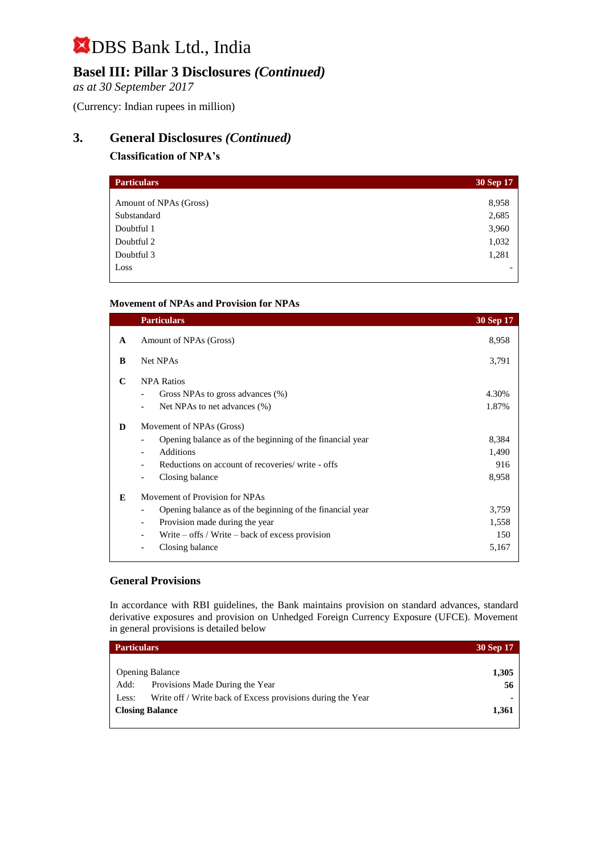## **Basel III: Pillar 3 Disclosures** *(Continued)*

*as at 30 September 2017*

(Currency: Indian rupees in million)

## **3. General Disclosures** *(Continued)*

#### **Classification of NPA's**

| <b>Particulars</b>     | 30 Sep 17 |
|------------------------|-----------|
| Amount of NPAs (Gross) | 8,958     |
| Substandard            |           |
|                        | 2,685     |
| Doubtful 1             | 3,960     |
| Doubtful 2             | 1,032     |
| Doubtful 3             | 1,281     |
| Loss                   |           |

#### **Movement of NPAs and Provision for NPAs**

|   | <b>Particulars</b>                                        | 30 Sep 17 |
|---|-----------------------------------------------------------|-----------|
| A | Amount of NPAs (Gross)                                    | 8,958     |
| B | Net NPAs                                                  | 3,791     |
| C | <b>NPA Ratios</b>                                         |           |
|   | Gross NPAs to gross advances (%)                          | 4.30%     |
|   | Net NPAs to net advances (%)                              | 1.87%     |
| D | Movement of NPAs (Gross)                                  |           |
|   | Opening balance as of the beginning of the financial year | 8,384     |
|   | Additions                                                 | 1,490     |
|   | Reductions on account of recoveries/ write - offs         | 916       |
|   | Closing balance                                           | 8,958     |
| E | Movement of Provision for NPAs                            |           |
|   | Opening balance as of the beginning of the financial year | 3,759     |
|   | Provision made during the year<br>-                       | 1,558     |
|   | Write $-$ offs / Write $-$ back of excess provision       | 150       |
|   | Closing balance                                           | 5,167     |

#### **General Provisions**

In accordance with RBI guidelines, the Bank maintains provision on standard advances, standard derivative exposures and provision on Unhedged Foreign Currency Exposure (UFCE). Movement in general provisions is detailed below

| <b>Particulars</b>     |                                                             | 30 Sep 17      |
|------------------------|-------------------------------------------------------------|----------------|
|                        |                                                             |                |
| <b>Opening Balance</b> |                                                             | 1,305          |
| Add:                   | Provisions Made During the Year                             | 56             |
| Less:                  | Write off / Write back of Excess provisions during the Year | $\blacksquare$ |
| <b>Closing Balance</b> |                                                             | 1,361          |
|                        |                                                             |                |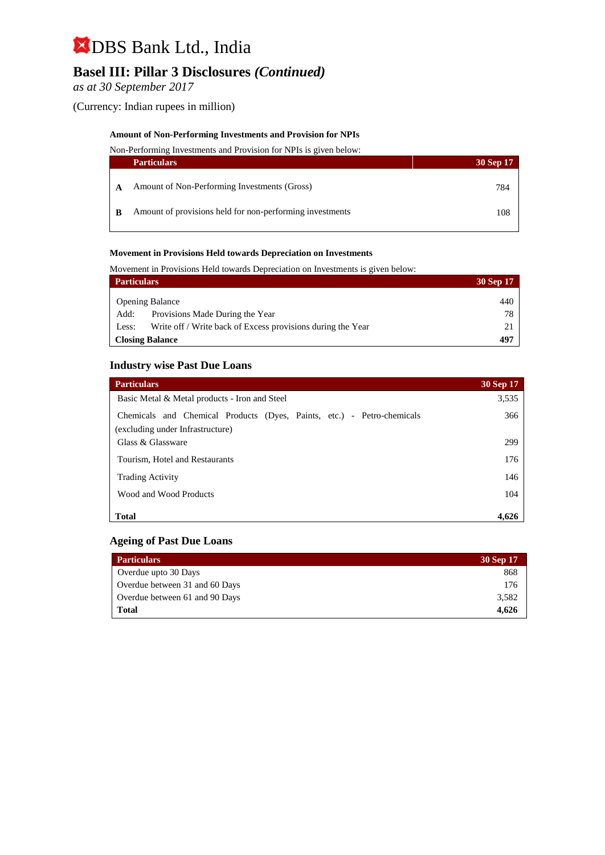## **Basel III: Pillar 3 Disclosures** *(Continued)*

*as at 30 September 2017*

(Currency: Indian rupees in million)

#### **Amount of Non-Performing Investments and Provision for NPIs**

Non-Performing Investments and Provision for NPIs is given below:

| <b>Particulars</b>                                       | 30 Sep 17 |
|----------------------------------------------------------|-----------|
| Amount of Non-Performing Investments (Gross)             | 784       |
| Amount of provisions held for non-performing investments | 108       |

#### **Movement in Provisions Held towards Depreciation on Investments**

Movement in Provisions Held towards Depreciation on Investments is given below:

| <b>Particulars</b> |                                                             | 30 Sep 17 |
|--------------------|-------------------------------------------------------------|-----------|
|                    | <b>Opening Balance</b>                                      | 440       |
| Add:               | Provisions Made During the Year                             | 78        |
|                    |                                                             |           |
| Less:              | Write off / Write back of Excess provisions during the Year |           |
|                    | <b>Closing Balance</b>                                      | 497       |

#### **Industry wise Past Due Loans**

| <b>Particulars</b>                                                                                         | 30 Sep 17 |
|------------------------------------------------------------------------------------------------------------|-----------|
| Basic Metal & Metal products - Iron and Steel                                                              | 3,535     |
| Chemicals and Chemical Products (Dyes, Paints, etc.) - Petro-chemicals<br>(excluding under Infrastructure) | 366       |
| Glass & Glassware                                                                                          | 299       |
| Tourism, Hotel and Restaurants                                                                             | 176       |
| <b>Trading Activity</b>                                                                                    | 146       |
| Wood and Wood Products                                                                                     | 104       |
| <b>Total</b>                                                                                               | 4.626     |

#### **Ageing of Past Due Loans**

| <b>Particulars</b>             | 30 Sep 17 |
|--------------------------------|-----------|
| Overdue upto 30 Days           | 868       |
| Overdue between 31 and 60 Days | 176       |
| Overdue between 61 and 90 Days | 3.582     |
| <b>Total</b>                   | 4.626     |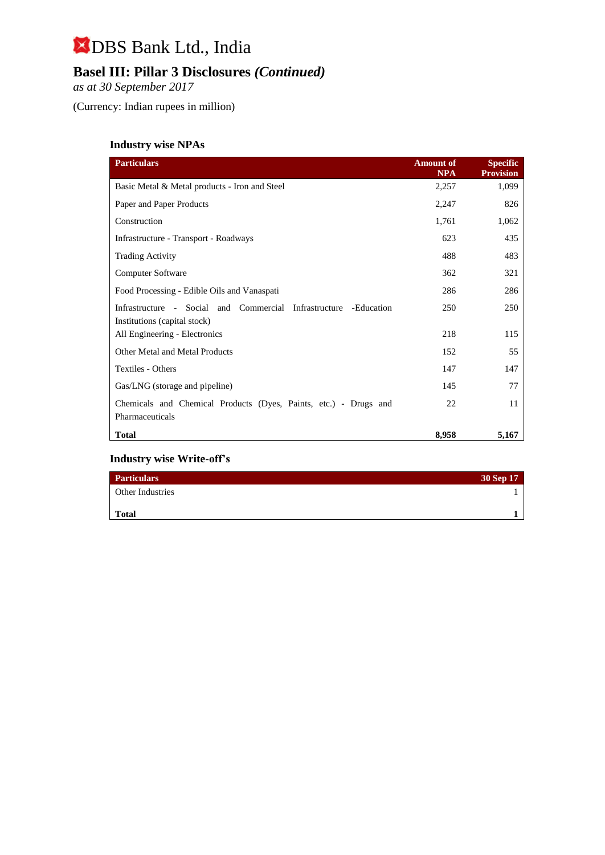## **Basel III: Pillar 3 Disclosures** *(Continued)*

*as at 30 September 2017*

(Currency: Indian rupees in million)

### **Industry wise NPAs**

| <b>Particulars</b>                                                                  | <b>Amount of</b><br><b>NPA</b> | <b>Specific</b><br><b>Provision</b> |
|-------------------------------------------------------------------------------------|--------------------------------|-------------------------------------|
| Basic Metal & Metal products - Iron and Steel                                       | 2,257                          | 1,099                               |
| Paper and Paper Products                                                            | 2,247                          | 826                                 |
| Construction                                                                        | 1,761                          | 1,062                               |
| Infrastructure - Transport - Roadways                                               | 623                            | 435                                 |
| <b>Trading Activity</b>                                                             | 488                            | 483                                 |
| <b>Computer Software</b>                                                            | 362                            | 321                                 |
| Food Processing - Edible Oils and Vanaspati                                         | 286                            | 286                                 |
| Infrastructure - Social and Commercial Infrastructure<br>-Education                 | 250                            | 250                                 |
| Institutions (capital stock)<br>All Engineering - Electronics                       | 218                            | 115                                 |
| Other Metal and Metal Products                                                      | 152                            | 55                                  |
| Textiles - Others                                                                   | 147                            | 147                                 |
| Gas/LNG (storage and pipeline)                                                      | 145                            | 77                                  |
| Chemicals and Chemical Products (Dyes, Paints, etc.) - Drugs and<br>Pharmaceuticals | 22                             | 11                                  |
| <b>Total</b>                                                                        | 8,958                          | 5,167                               |

#### **Industry wise Write-off's**

| <b>Particulars</b>      | 30 Sep 17 |
|-------------------------|-----------|
| <b>Other Industries</b> |           |
| <b>Total</b>            |           |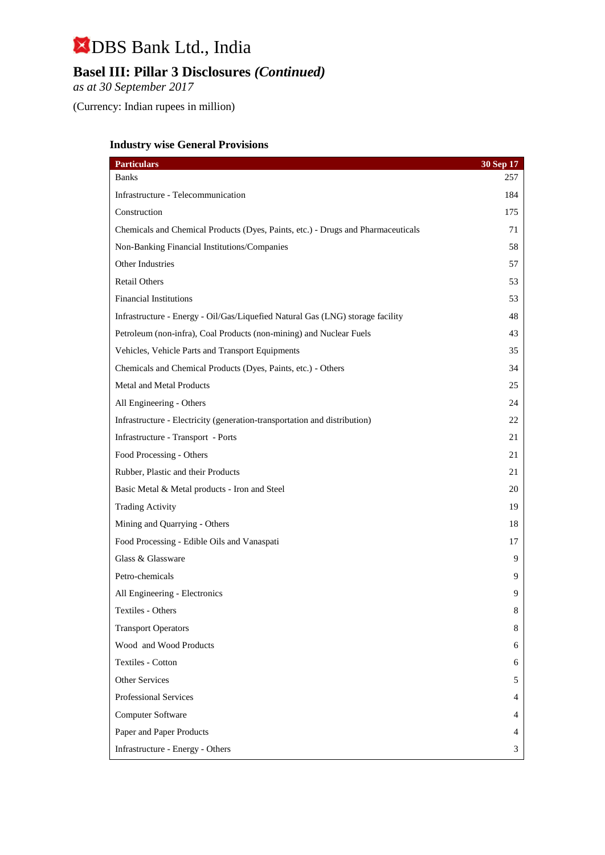## **Basel III: Pillar 3 Disclosures** *(Continued)*

*as at 30 September 2017*

(Currency: Indian rupees in million)

## **Industry wise General Provisions**

| <b>Particulars</b>                                                               | 30 Sep 17 |
|----------------------------------------------------------------------------------|-----------|
| <b>Banks</b>                                                                     | 257       |
| Infrastructure - Telecommunication                                               | 184       |
| Construction                                                                     | 175       |
| Chemicals and Chemical Products (Dyes, Paints, etc.) - Drugs and Pharmaceuticals | 71        |
| Non-Banking Financial Institutions/Companies                                     | 58        |
| Other Industries                                                                 | 57        |
| <b>Retail Others</b>                                                             | 53        |
| <b>Financial Institutions</b>                                                    | 53        |
| Infrastructure - Energy - Oil/Gas/Liquefied Natural Gas (LNG) storage facility   | 48        |
| Petroleum (non-infra), Coal Products (non-mining) and Nuclear Fuels              | 43        |
| Vehicles, Vehicle Parts and Transport Equipments                                 | 35        |
| Chemicals and Chemical Products (Dyes, Paints, etc.) - Others                    | 34        |
| <b>Metal and Metal Products</b>                                                  | 25        |
| All Engineering - Others                                                         | 24        |
| Infrastructure - Electricity (generation-transportation and distribution)        | 22        |
| Infrastructure - Transport - Ports                                               | 21        |
| Food Processing - Others                                                         | 21        |
| Rubber, Plastic and their Products                                               | 21        |
| Basic Metal & Metal products - Iron and Steel                                    | 20        |
| <b>Trading Activity</b>                                                          | 19        |
| Mining and Quarrying - Others                                                    | 18        |
| Food Processing - Edible Oils and Vanaspati                                      | 17        |
| Glass & Glassware                                                                | 9         |
| Petro-chemicals                                                                  | 9         |
| All Engineering - Electronics                                                    | 9         |
| Textiles - Others                                                                | 8         |
| <b>Transport Operators</b>                                                       | 8         |
| Wood and Wood Products                                                           | 6         |
| Textiles - Cotton                                                                | 6         |
| Other Services                                                                   | 5         |
| Professional Services                                                            | 4         |
| Computer Software                                                                | 4         |
| Paper and Paper Products                                                         | 4         |
| Infrastructure - Energy - Others                                                 | 3         |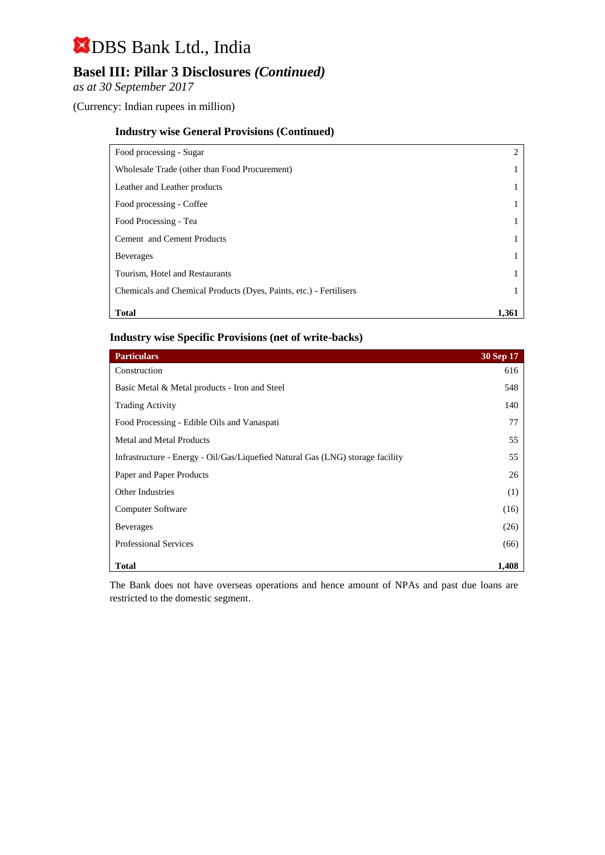## **Basel III: Pillar 3 Disclosures** *(Continued)*

*as at 30 September 2017*

(Currency: Indian rupees in million)

#### **Industry wise General Provisions (Continued)**

| Food processing - Sugar                                            |       |
|--------------------------------------------------------------------|-------|
| Wholesale Trade (other than Food Procurement)                      |       |
| Leather and Leather products                                       |       |
| Food processing - Coffee                                           |       |
| Food Processing - Tea                                              |       |
| <b>Cement</b> and Cement Products                                  |       |
| <b>Beverages</b>                                                   |       |
| Tourism, Hotel and Restaurants                                     |       |
| Chemicals and Chemical Products (Dyes, Paints, etc.) - Fertilisers |       |
| <b>Total</b>                                                       | 1.361 |

#### **Industry wise Specific Provisions (net of write-backs)**

| <b>Particulars</b>                                                             | 30 Sep 17 |
|--------------------------------------------------------------------------------|-----------|
| Construction                                                                   | 616       |
| Basic Metal & Metal products - Iron and Steel                                  | 548       |
| <b>Trading Activity</b>                                                        | 140       |
| Food Processing - Edible Oils and Vanaspati                                    | 77        |
| <b>Metal and Metal Products</b>                                                | 55        |
| Infrastructure - Energy - Oil/Gas/Liquefied Natural Gas (LNG) storage facility | 55        |
| Paper and Paper Products                                                       | 26        |
| <b>Other Industries</b>                                                        | (1)       |
| Computer Software                                                              | (16)      |
| <b>Beverages</b>                                                               | (26)      |
| <b>Professional Services</b>                                                   | (66)      |
| <b>Total</b>                                                                   | 1,408     |

The Bank does not have overseas operations and hence amount of NPAs and past due loans are restricted to the domestic segment.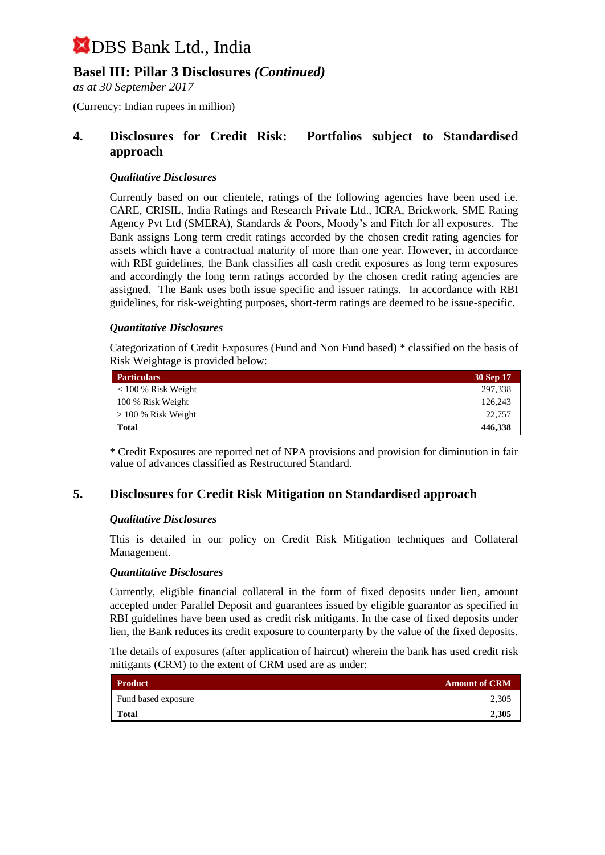## **Basel III: Pillar 3 Disclosures** *(Continued)*

*as at 30 September 2017*

(Currency: Indian rupees in million)

### **4. Disclosures for Credit Risk: Portfolios subject to Standardised approach**

#### *Qualitative Disclosures*

Currently based on our clientele, ratings of the following agencies have been used i.e. CARE, CRISIL, India Ratings and Research Private Ltd., ICRA, Brickwork, SME Rating Agency Pvt Ltd (SMERA), Standards & Poors, Moody's and Fitch for all exposures. The Bank assigns Long term credit ratings accorded by the chosen credit rating agencies for assets which have a contractual maturity of more than one year. However, in accordance with RBI guidelines, the Bank classifies all cash credit exposures as long term exposures and accordingly the long term ratings accorded by the chosen credit rating agencies are assigned. The Bank uses both issue specific and issuer ratings. In accordance with RBI guidelines, for risk-weighting purposes, short-term ratings are deemed to be issue-specific.

#### *Quantitative Disclosures*

Categorization of Credit Exposures (Fund and Non Fund based) \* classified on the basis of Risk Weightage is provided below:

| <b>Particulars</b>    | 30 Sep 17 |
|-----------------------|-----------|
| $< 100 %$ Risk Weight | 297,338   |
| 100 % Risk Weight     | 126,243   |
| $> 100\%$ Risk Weight | 22.757    |
| Total                 | 446,338   |

\* Credit Exposures are reported net of NPA provisions and provision for diminution in fair value of advances classified as Restructured Standard.

### **5. Disclosures for Credit Risk Mitigation on Standardised approach**

#### *Qualitative Disclosures*

This is detailed in our policy on Credit Risk Mitigation techniques and Collateral Management.

#### *Quantitative Disclosures*

Currently, eligible financial collateral in the form of fixed deposits under lien, amount accepted under Parallel Deposit and guarantees issued by eligible guarantor as specified in RBI guidelines have been used as credit risk mitigants. In the case of fixed deposits under lien, the Bank reduces its credit exposure to counterparty by the value of the fixed deposits.

The details of exposures (after application of haircut) wherein the bank has used credit risk mitigants (CRM) to the extent of CRM used are as under:

| <b>Product</b>      | <b>Amount of CRM</b> |
|---------------------|----------------------|
| Fund based exposure | 2,305                |
| <b>Total</b>        | 2,305                |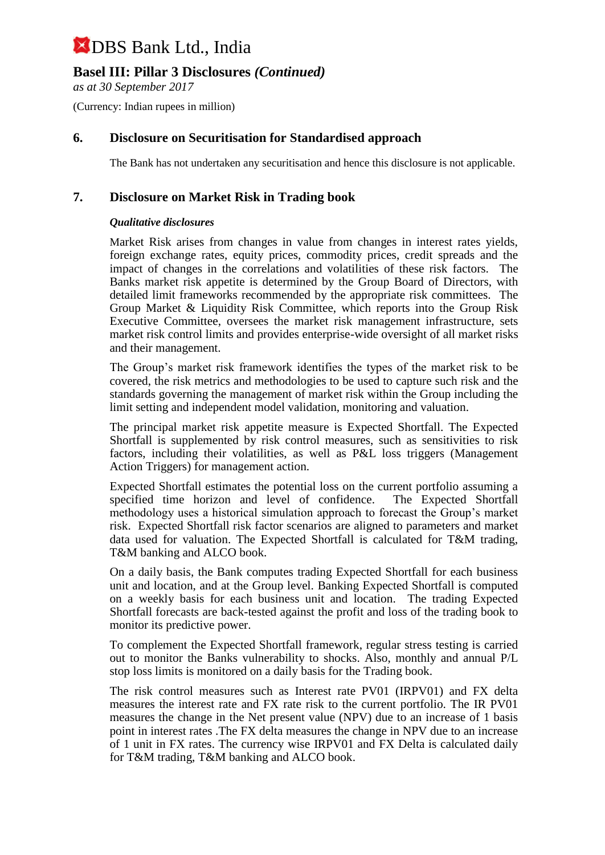## **Basel III: Pillar 3 Disclosures** *(Continued)*

*as at 30 September 2017*

(Currency: Indian rupees in million)

### **6. Disclosure on Securitisation for Standardised approach**

The Bank has not undertaken any securitisation and hence this disclosure is not applicable.

### **7. Disclosure on Market Risk in Trading book**

#### *Qualitative disclosures*

Market Risk arises from changes in value from changes in interest rates yields, foreign exchange rates, equity prices, commodity prices, credit spreads and the impact of changes in the correlations and volatilities of these risk factors. The Banks market risk appetite is determined by the Group Board of Directors, with detailed limit frameworks recommended by the appropriate risk committees. The Group Market & Liquidity Risk Committee, which reports into the Group Risk Executive Committee, oversees the market risk management infrastructure, sets market risk control limits and provides enterprise-wide oversight of all market risks and their management.

The Group's market risk framework identifies the types of the market risk to be covered, the risk metrics and methodologies to be used to capture such risk and the standards governing the management of market risk within the Group including the limit setting and independent model validation, monitoring and valuation.

The principal market risk appetite measure is Expected Shortfall. The Expected Shortfall is supplemented by risk control measures, such as sensitivities to risk factors, including their volatilities, as well as P&L loss triggers (Management Action Triggers) for management action.

Expected Shortfall estimates the potential loss on the current portfolio assuming a specified time horizon and level of confidence. The Expected Shortfall methodology uses a historical simulation approach to forecast the Group's market risk. Expected Shortfall risk factor scenarios are aligned to parameters and market data used for valuation. The Expected Shortfall is calculated for T&M trading, T&M banking and ALCO book.

On a daily basis, the Bank computes trading Expected Shortfall for each business unit and location, and at the Group level. Banking Expected Shortfall is computed on a weekly basis for each business unit and location. The trading Expected Shortfall forecasts are back-tested against the profit and loss of the trading book to monitor its predictive power.

To complement the Expected Shortfall framework, regular stress testing is carried out to monitor the Banks vulnerability to shocks. Also, monthly and annual P/L stop loss limits is monitored on a daily basis for the Trading book.

The risk control measures such as Interest rate PV01 (IRPV01) and FX delta measures the interest rate and FX rate risk to the current portfolio. The IR PV01 measures the change in the Net present value (NPV) due to an increase of 1 basis point in interest rates .The FX delta measures the change in NPV due to an increase of 1 unit in FX rates. The currency wise IRPV01 and FX Delta is calculated daily for T&M trading, T&M banking and ALCO book.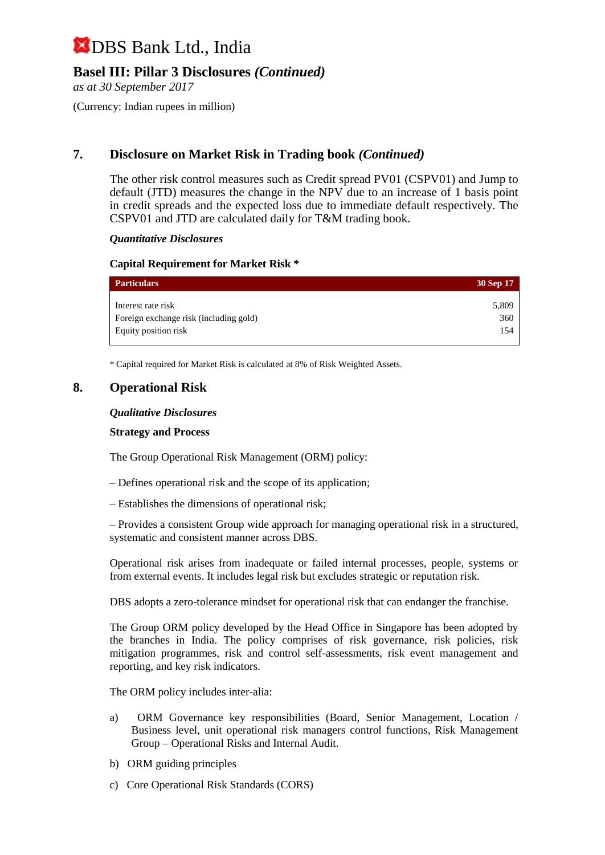## **Basel III: Pillar 3 Disclosures** *(Continued)*

*as at 30 September 2017*

(Currency: Indian rupees in million)

## **7. Disclosure on Market Risk in Trading book** *(Continued)*

The other risk control measures such as Credit spread PV01 (CSPV01) and Jump to default (JTD) measures the change in the NPV due to an increase of 1 basis point in credit spreads and the expected loss due to immediate default respectively. The CSPV01 and JTD are calculated daily for T&M trading book.

#### *Quantitative Disclosures*

#### **Capital Requirement for Market Risk \***

| <b>Particulars</b>                     | 30 Sep 17 |
|----------------------------------------|-----------|
| Interest rate risk                     | 5,809     |
| Foreign exchange risk (including gold) | 360       |
| Equity position risk                   | 154       |

\* Capital required for Market Risk is calculated at 8% of Risk Weighted Assets.

#### **8. Operational Risk**

#### *Qualitative Disclosures*

#### **Strategy and Process**

The Group Operational Risk Management (ORM) policy:

- Defines operational risk and the scope of its application;
- Establishes the dimensions of operational risk;

– Provides a consistent Group wide approach for managing operational risk in a structured, systematic and consistent manner across DBS.

Operational risk arises from inadequate or failed internal processes, people, systems or from external events. It includes legal risk but excludes strategic or reputation risk.

DBS adopts a zero-tolerance mindset for operational risk that can endanger the franchise.

The Group ORM policy developed by the Head Office in Singapore has been adopted by the branches in India. The policy comprises of risk governance, risk policies, risk mitigation programmes, risk and control self-assessments, risk event management and reporting, and key risk indicators.

The ORM policy includes inter-alia:

- a) ORM Governance key responsibilities (Board, Senior Management, Location / Business level, unit operational risk managers control functions, Risk Management Group – Operational Risks and Internal Audit.
- b) ORM guiding principles
- c) Core Operational Risk Standards (CORS)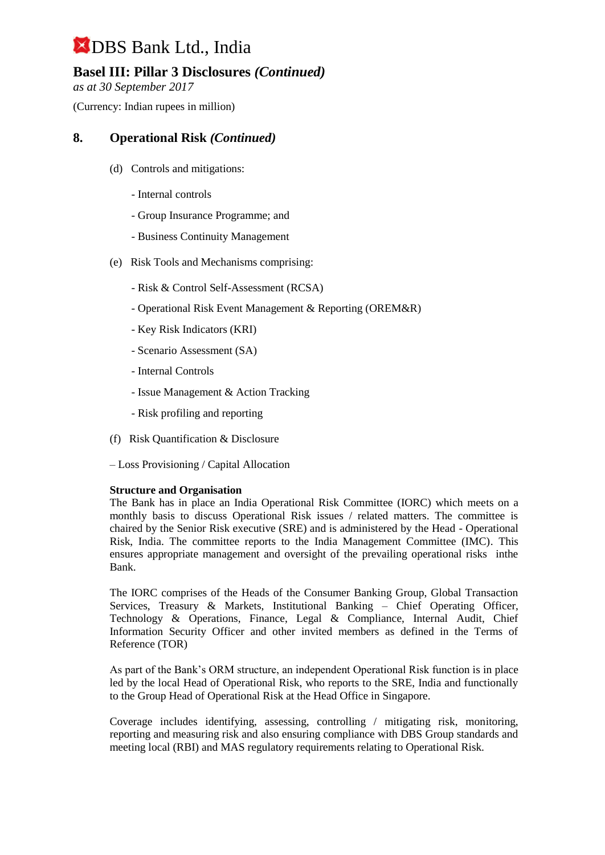## **Basel III: Pillar 3 Disclosures** *(Continued)*

*as at 30 September 2017*

(Currency: Indian rupees in million)

### **8. Operational Risk** *(Continued)*

- (d) Controls and mitigations:
	- Internal controls
	- Group Insurance Programme; and
	- Business Continuity Management
- (e) Risk Tools and Mechanisms comprising:
	- Risk & Control Self-Assessment (RCSA)
	- Operational Risk Event Management & Reporting (OREM&R)
	- Key Risk Indicators (KRI)
	- Scenario Assessment (SA)
	- Internal Controls
	- Issue Management & Action Tracking
	- Risk profiling and reporting
- (f) Risk Quantification & Disclosure
- Loss Provisioning / Capital Allocation

#### **Structure and Organisation**

The Bank has in place an India Operational Risk Committee (IORC) which meets on a monthly basis to discuss Operational Risk issues / related matters. The committee is chaired by the Senior Risk executive (SRE) and is administered by the Head - Operational Risk, India. The committee reports to the India Management Committee (IMC). This ensures appropriate management and oversight of the prevailing operational risks inthe Bank.

The IORC comprises of the Heads of the Consumer Banking Group, Global Transaction Services, Treasury & Markets, Institutional Banking – Chief Operating Officer, Technology & Operations, Finance, Legal & Compliance, Internal Audit, Chief Information Security Officer and other invited members as defined in the Terms of Reference (TOR)

As part of the Bank's ORM structure, an independent Operational Risk function is in place led by the local Head of Operational Risk, who reports to the SRE, India and functionally to the Group Head of Operational Risk at the Head Office in Singapore.

Coverage includes identifying, assessing, controlling / mitigating risk, monitoring, reporting and measuring risk and also ensuring compliance with DBS Group standards and meeting local (RBI) and MAS regulatory requirements relating to Operational Risk.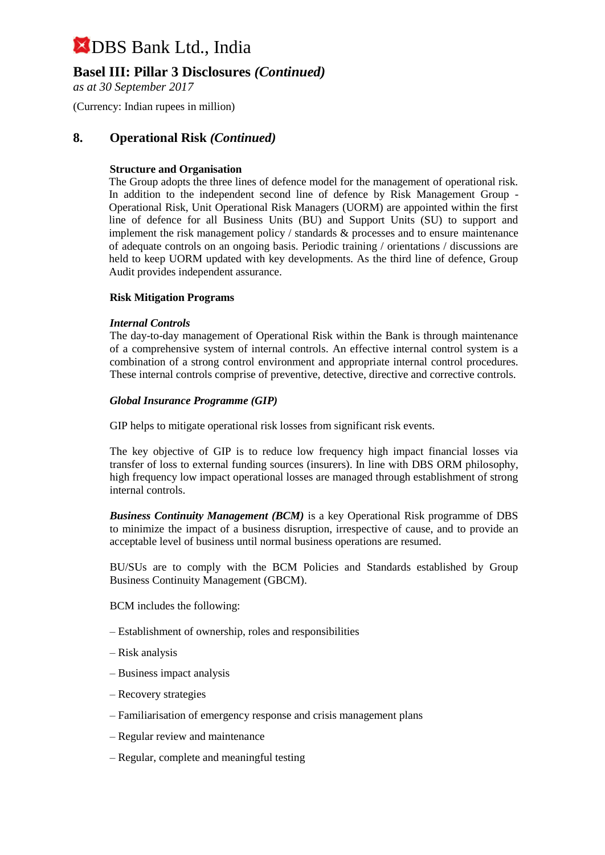### **Basel III: Pillar 3 Disclosures** *(Continued)*

*as at 30 September 2017*

(Currency: Indian rupees in million)

#### **8. Operational Risk** *(Continued)*

#### **Structure and Organisation**

The Group adopts the three lines of defence model for the management of operational risk. In addition to the independent second line of defence by Risk Management Group - Operational Risk, Unit Operational Risk Managers (UORM) are appointed within the first line of defence for all Business Units (BU) and Support Units (SU) to support and implement the risk management policy / standards & processes and to ensure maintenance of adequate controls on an ongoing basis. Periodic training / orientations / discussions are held to keep UORM updated with key developments. As the third line of defence, Group Audit provides independent assurance.

#### **Risk Mitigation Programs**

#### *Internal Controls*

The day-to-day management of Operational Risk within the Bank is through maintenance of a comprehensive system of internal controls. An effective internal control system is a combination of a strong control environment and appropriate internal control procedures. These internal controls comprise of preventive, detective, directive and corrective controls.

#### *Global Insurance Programme (GIP)*

GIP helps to mitigate operational risk losses from significant risk events.

The key objective of GIP is to reduce low frequency high impact financial losses via transfer of loss to external funding sources (insurers). In line with DBS ORM philosophy, high frequency low impact operational losses are managed through establishment of strong internal controls.

*Business Continuity Management (BCM)* is a key Operational Risk programme of DBS to minimize the impact of a business disruption, irrespective of cause, and to provide an acceptable level of business until normal business operations are resumed.

BU/SUs are to comply with the BCM Policies and Standards established by Group Business Continuity Management (GBCM).

BCM includes the following:

- Establishment of ownership, roles and responsibilities
- Risk analysis
- Business impact analysis
- Recovery strategies
- Familiarisation of emergency response and crisis management plans
- Regular review and maintenance
- Regular, complete and meaningful testing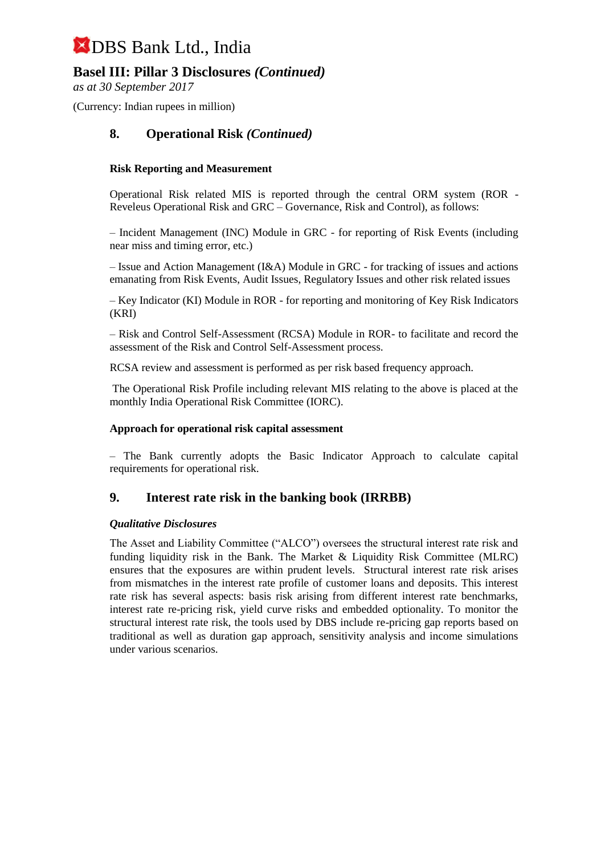## **Basel III: Pillar 3 Disclosures** *(Continued)*

*as at 30 September 2017*

(Currency: Indian rupees in million)

### **8. Operational Risk** *(Continued)*

#### **Risk Reporting and Measurement**

Operational Risk related MIS is reported through the central ORM system (ROR - Reveleus Operational Risk and GRC – Governance, Risk and Control), as follows:

– Incident Management (INC) Module in GRC - for reporting of Risk Events (including near miss and timing error, etc.)

– Issue and Action Management (I&A) Module in GRC - for tracking of issues and actions emanating from Risk Events, Audit Issues, Regulatory Issues and other risk related issues

– Key Indicator (KI) Module in ROR - for reporting and monitoring of Key Risk Indicators (KRI)

– Risk and Control Self-Assessment (RCSA) Module in ROR- to facilitate and record the assessment of the Risk and Control Self-Assessment process.

RCSA review and assessment is performed as per risk based frequency approach.

The Operational Risk Profile including relevant MIS relating to the above is placed at the monthly India Operational Risk Committee (IORC).

#### **Approach for operational risk capital assessment**

– The Bank currently adopts the Basic Indicator Approach to calculate capital requirements for operational risk.

#### **9. Interest rate risk in the banking book (IRRBB)**

#### *Qualitative Disclosures*

The Asset and Liability Committee ("ALCO") oversees the structural interest rate risk and funding liquidity risk in the Bank. The Market & Liquidity Risk Committee (MLRC) ensures that the exposures are within prudent levels. Structural interest rate risk arises from mismatches in the interest rate profile of customer loans and deposits. This interest rate risk has several aspects: basis risk arising from different interest rate benchmarks, interest rate re-pricing risk, yield curve risks and embedded optionality. To monitor the structural interest rate risk, the tools used by DBS include re-pricing gap reports based on traditional as well as duration gap approach, sensitivity analysis and income simulations under various scenarios.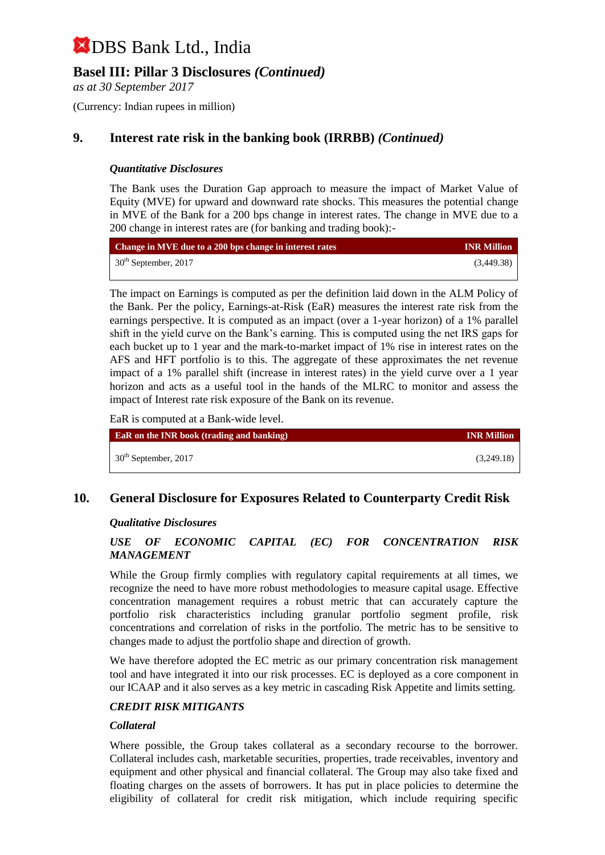## **Basel III: Pillar 3 Disclosures** *(Continued)*

*as at 30 September 2017*

(Currency: Indian rupees in million)

### **9. Interest rate risk in the banking book (IRRBB)** *(Continued)*

#### *Quantitative Disclosures*

The Bank uses the Duration Gap approach to measure the impact of Market Value of Equity (MVE) for upward and downward rate shocks. This measures the potential change in MVE of the Bank for a 200 bps change in interest rates. The change in MVE due to a 200 change in interest rates are (for banking and trading book):-

| Change in MVE due to a 200 bps change in interest rates | <b>INR Million</b> |
|---------------------------------------------------------|--------------------|
| $30th$ September, 2017                                  | (3,449.38)         |

The impact on Earnings is computed as per the definition laid down in the ALM Policy of the Bank. Per the policy, Earnings-at-Risk (EaR) measures the interest rate risk from the earnings perspective. It is computed as an impact (over a 1-year horizon) of a 1% parallel shift in the yield curve on the Bank's earning. This is computed using the net IRS gaps for each bucket up to 1 year and the mark-to-market impact of 1% rise in interest rates on the AFS and HFT portfolio is to this. The aggregate of these approximates the net revenue impact of a 1% parallel shift (increase in interest rates) in the yield curve over a 1 year horizon and acts as a useful tool in the hands of the MLRC to monitor and assess the impact of Interest rate risk exposure of the Bank on its revenue.

EaR is computed at a Bank-wide level.

| <b>EaR</b> on the INR book (trading and banking) | <b>INR Million</b> |
|--------------------------------------------------|--------------------|
| $30th$ September, 2017                           | (3,249.18)         |

#### **10. General Disclosure for Exposures Related to Counterparty Credit Risk**

#### *Qualitative Disclosures*

#### *USE OF ECONOMIC CAPITAL (EC) FOR CONCENTRATION RISK MANAGEMENT*

While the Group firmly complies with regulatory capital requirements at all times, we recognize the need to have more robust methodologies to measure capital usage. Effective concentration management requires a robust metric that can accurately capture the portfolio risk characteristics including granular portfolio segment profile, risk concentrations and correlation of risks in the portfolio. The metric has to be sensitive to changes made to adjust the portfolio shape and direction of growth.

We have therefore adopted the EC metric as our primary concentration risk management tool and have integrated it into our risk processes. EC is deployed as a core component in our ICAAP and it also serves as a key metric in cascading Risk Appetite and limits setting.

#### *CREDIT RISK MITIGANTS*

#### *Collateral*

Where possible, the Group takes collateral as a secondary recourse to the borrower. Collateral includes cash, marketable securities, properties, trade receivables, inventory and equipment and other physical and financial collateral. The Group may also take fixed and floating charges on the assets of borrowers. It has put in place policies to determine the eligibility of collateral for credit risk mitigation, which include requiring specific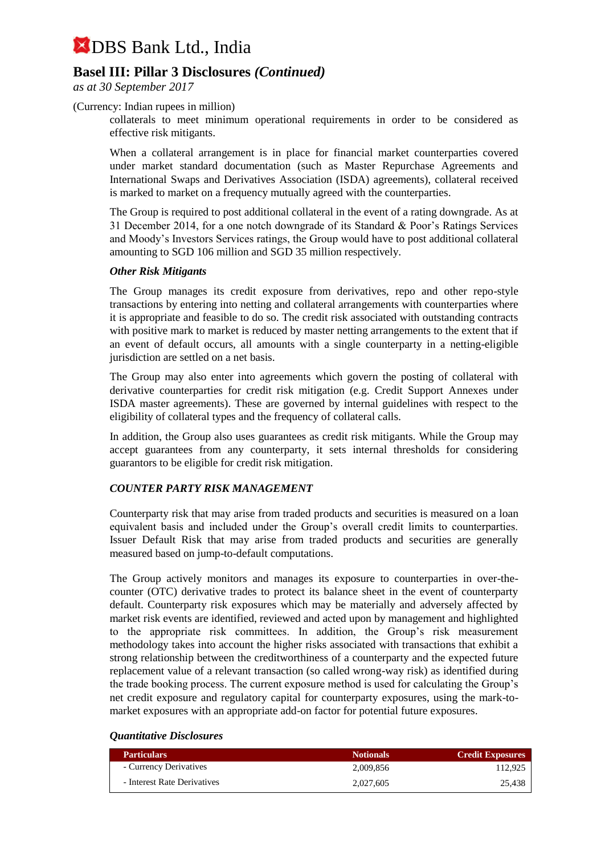### **Basel III: Pillar 3 Disclosures** *(Continued)*

*as at 30 September 2017*

(Currency: Indian rupees in million)

collaterals to meet minimum operational requirements in order to be considered as effective risk mitigants.

When a collateral arrangement is in place for financial market counterparties covered under market standard documentation (such as Master Repurchase Agreements and International Swaps and Derivatives Association (ISDA) agreements), collateral received is marked to market on a frequency mutually agreed with the counterparties.

The Group is required to post additional collateral in the event of a rating downgrade. As at 31 December 2014, for a one notch downgrade of its Standard & Poor's Ratings Services and Moody's Investors Services ratings, the Group would have to post additional collateral amounting to SGD 106 million and SGD 35 million respectively.

#### *Other Risk Mitigants*

The Group manages its credit exposure from derivatives, repo and other repo-style transactions by entering into netting and collateral arrangements with counterparties where it is appropriate and feasible to do so. The credit risk associated with outstanding contracts with positive mark to market is reduced by master netting arrangements to the extent that if an event of default occurs, all amounts with a single counterparty in a netting-eligible jurisdiction are settled on a net basis.

The Group may also enter into agreements which govern the posting of collateral with derivative counterparties for credit risk mitigation (e.g. Credit Support Annexes under ISDA master agreements). These are governed by internal guidelines with respect to the eligibility of collateral types and the frequency of collateral calls.

In addition, the Group also uses guarantees as credit risk mitigants. While the Group may accept guarantees from any counterparty, it sets internal thresholds for considering guarantors to be eligible for credit risk mitigation.

#### *COUNTER PARTY RISK MANAGEMENT*

Counterparty risk that may arise from traded products and securities is measured on a loan equivalent basis and included under the Group's overall credit limits to counterparties. Issuer Default Risk that may arise from traded products and securities are generally measured based on jump-to-default computations.

The Group actively monitors and manages its exposure to counterparties in over-thecounter (OTC) derivative trades to protect its balance sheet in the event of counterparty default. Counterparty risk exposures which may be materially and adversely affected by market risk events are identified, reviewed and acted upon by management and highlighted to the appropriate risk committees. In addition, the Group's risk measurement methodology takes into account the higher risks associated with transactions that exhibit a strong relationship between the creditworthiness of a counterparty and the expected future replacement value of a relevant transaction (so called wrong-way risk) as identified during the trade booking process. The current exposure method is used for calculating the Group's net credit exposure and regulatory capital for counterparty exposures, using the mark-tomarket exposures with an appropriate add-on factor for potential future exposures.

#### *Quantitative Disclosures*

| <b>Particulars</b>          | <b>Notionals</b> | <b>Credit Exposures</b> |
|-----------------------------|------------------|-------------------------|
| - Currency Derivatives      | 2.009.856        | 112,925                 |
| - Interest Rate Derivatives | 2.027.605        | 25.438                  |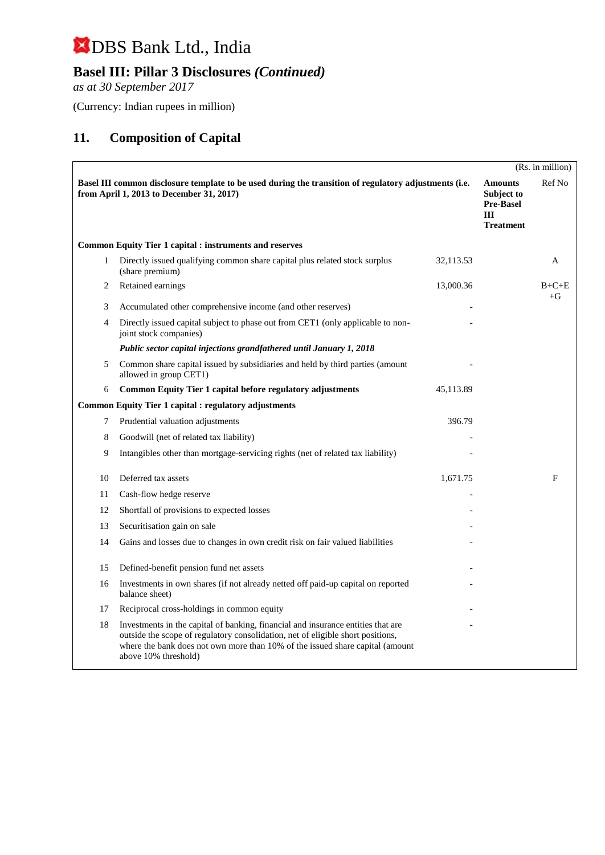## **Basel III: Pillar 3 Disclosures** *(Continued)*

*as at 30 September 2017*

(Currency: Indian rupees in million)

## **11. Composition of Capital**

|    |                                                                                                                                                                                                                                                                              |           |                                                                             | (Rs. in million) |
|----|------------------------------------------------------------------------------------------------------------------------------------------------------------------------------------------------------------------------------------------------------------------------------|-----------|-----------------------------------------------------------------------------|------------------|
|    | Basel III common disclosure template to be used during the transition of regulatory adjustments (i.e.<br>from April 1, 2013 to December 31, 2017)                                                                                                                            |           | <b>Amounts</b><br>Subject to<br><b>Pre-Basel</b><br>III<br><b>Treatment</b> | Ref No           |
|    | <b>Common Equity Tier 1 capital : instruments and reserves</b>                                                                                                                                                                                                               |           |                                                                             |                  |
| 1  | Directly issued qualifying common share capital plus related stock surplus<br>(share premium)                                                                                                                                                                                | 32,113.53 |                                                                             | A                |
| 2  | Retained earnings                                                                                                                                                                                                                                                            | 13,000.36 |                                                                             | $B+C+E$<br>$+G$  |
| 3  | Accumulated other comprehensive income (and other reserves)                                                                                                                                                                                                                  |           |                                                                             |                  |
| 4  | Directly issued capital subject to phase out from CET1 (only applicable to non-<br>joint stock companies)                                                                                                                                                                    |           |                                                                             |                  |
|    | Public sector capital injections grandfathered until January 1, 2018                                                                                                                                                                                                         |           |                                                                             |                  |
| 5  | Common share capital issued by subsidiaries and held by third parties (amount<br>allowed in group CET1)                                                                                                                                                                      |           |                                                                             |                  |
| 6  | Common Equity Tier 1 capital before regulatory adjustments                                                                                                                                                                                                                   | 45,113.89 |                                                                             |                  |
|    | <b>Common Equity Tier 1 capital : regulatory adjustments</b>                                                                                                                                                                                                                 |           |                                                                             |                  |
| 7  | Prudential valuation adjustments                                                                                                                                                                                                                                             | 396.79    |                                                                             |                  |
| 8  | Goodwill (net of related tax liability)                                                                                                                                                                                                                                      |           |                                                                             |                  |
| 9  | Intangibles other than mortgage-servicing rights (net of related tax liability)                                                                                                                                                                                              |           |                                                                             |                  |
| 10 | Deferred tax assets                                                                                                                                                                                                                                                          | 1,671.75  |                                                                             | F                |
| 11 | Cash-flow hedge reserve                                                                                                                                                                                                                                                      |           |                                                                             |                  |
| 12 | Shortfall of provisions to expected losses                                                                                                                                                                                                                                   |           |                                                                             |                  |
| 13 | Securitisation gain on sale                                                                                                                                                                                                                                                  |           |                                                                             |                  |
| 14 | Gains and losses due to changes in own credit risk on fair valued liabilities                                                                                                                                                                                                |           |                                                                             |                  |
| 15 | Defined-benefit pension fund net assets                                                                                                                                                                                                                                      |           |                                                                             |                  |
| 16 | Investments in own shares (if not already netted off paid-up capital on reported<br>balance sheet)                                                                                                                                                                           |           |                                                                             |                  |
| 17 | Reciprocal cross-holdings in common equity                                                                                                                                                                                                                                   |           |                                                                             |                  |
| 18 | Investments in the capital of banking, financial and insurance entities that are<br>outside the scope of regulatory consolidation, net of eligible short positions,<br>where the bank does not own more than 10% of the issued share capital (amount<br>above 10% threshold) |           |                                                                             |                  |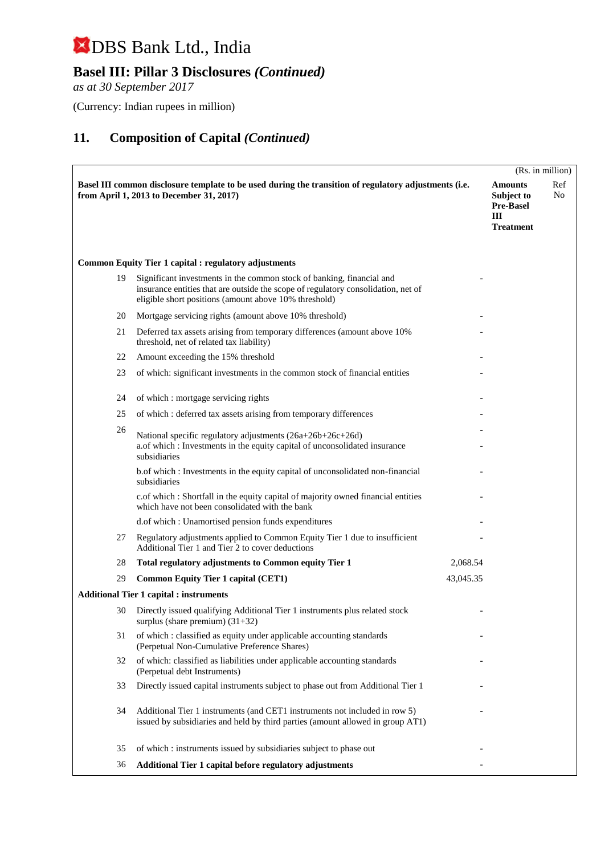## **Basel III: Pillar 3 Disclosures** *(Continued)*

*as at 30 September 2017*

(Currency: Indian rupees in million)

|    |                                                                                                                                                                                                                     |           |                                                                           | (Rs. in million) |
|----|---------------------------------------------------------------------------------------------------------------------------------------------------------------------------------------------------------------------|-----------|---------------------------------------------------------------------------|------------------|
|    | Basel III common disclosure template to be used during the transition of regulatory adjustments (i.e.<br>from April 1, 2013 to December 31, 2017)                                                                   |           | <b>Amounts</b><br>Subject to<br><b>Pre-Basel</b><br>Ш<br><b>Treatment</b> | Ref<br>No        |
|    | <b>Common Equity Tier 1 capital : regulatory adjustments</b>                                                                                                                                                        |           |                                                                           |                  |
| 19 | Significant investments in the common stock of banking, financial and<br>insurance entities that are outside the scope of regulatory consolidation, net of<br>eligible short positions (amount above 10% threshold) |           |                                                                           |                  |
| 20 | Mortgage servicing rights (amount above 10% threshold)                                                                                                                                                              |           |                                                                           |                  |
| 21 | Deferred tax assets arising from temporary differences (amount above 10%)<br>threshold, net of related tax liability)                                                                                               |           |                                                                           |                  |
| 22 | Amount exceeding the 15% threshold                                                                                                                                                                                  |           |                                                                           |                  |
| 23 | of which: significant investments in the common stock of financial entities                                                                                                                                         |           |                                                                           |                  |
| 24 | of which : mortgage servicing rights                                                                                                                                                                                |           |                                                                           |                  |
| 25 | of which: deferred tax assets arising from temporary differences                                                                                                                                                    |           |                                                                           |                  |
| 26 | National specific regulatory adjustments (26a+26b+26c+26d)<br>a.of which : Investments in the equity capital of unconsolidated insurance<br>subsidiaries                                                            |           |                                                                           |                  |
|    | b.of which : Investments in the equity capital of unconsolidated non-financial<br>subsidiaries                                                                                                                      |           |                                                                           |                  |
|    | c.of which : Shortfall in the equity capital of majority owned financial entities<br>which have not been consolidated with the bank                                                                                 |           |                                                                           |                  |
|    | d.of which: Unamortised pension funds expenditures                                                                                                                                                                  |           |                                                                           |                  |
| 27 | Regulatory adjustments applied to Common Equity Tier 1 due to insufficient<br>Additional Tier 1 and Tier 2 to cover deductions                                                                                      |           |                                                                           |                  |
| 28 | Total regulatory adjustments to Common equity Tier 1                                                                                                                                                                | 2,068.54  |                                                                           |                  |
| 29 | <b>Common Equity Tier 1 capital (CET1)</b>                                                                                                                                                                          | 43,045.35 |                                                                           |                  |
|    | <b>Additional Tier 1 capital : instruments</b>                                                                                                                                                                      |           |                                                                           |                  |
| 30 | Directly issued qualifying Additional Tier 1 instruments plus related stock<br>surplus (share premium) $(31+32)$                                                                                                    |           |                                                                           |                  |
| 31 | of which : classified as equity under applicable accounting standards<br>(Perpetual Non-Cumulative Preference Shares)                                                                                               |           |                                                                           |                  |
| 32 | of which: classified as liabilities under applicable accounting standards<br>(Perpetual debt Instruments)                                                                                                           |           |                                                                           |                  |
| 33 | Directly issued capital instruments subject to phase out from Additional Tier 1                                                                                                                                     |           |                                                                           |                  |
| 34 | Additional Tier 1 instruments (and CET1 instruments not included in row 5)<br>issued by subsidiaries and held by third parties (amount allowed in group AT1)                                                        |           |                                                                           |                  |
| 35 | of which: instruments issued by subsidiaries subject to phase out                                                                                                                                                   |           |                                                                           |                  |
| 36 | Additional Tier 1 capital before regulatory adjustments                                                                                                                                                             |           |                                                                           |                  |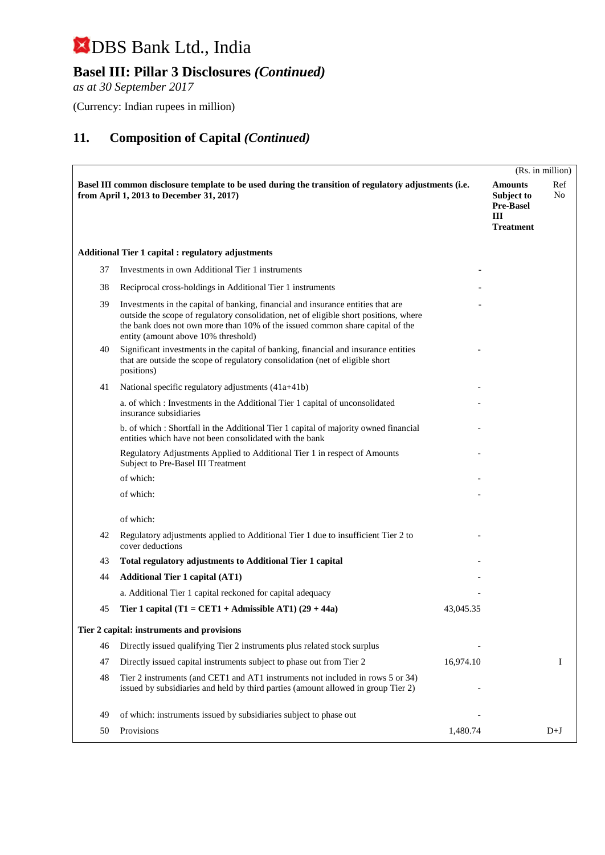## **Basel III: Pillar 3 Disclosures** *(Continued)*

*as at 30 September 2017*

(Currency: Indian rupees in million)

|    |                                                                                                                                                                                                                                                                                                   |           |                                                                           | (Rs. in million) |
|----|---------------------------------------------------------------------------------------------------------------------------------------------------------------------------------------------------------------------------------------------------------------------------------------------------|-----------|---------------------------------------------------------------------------|------------------|
|    | Basel III common disclosure template to be used during the transition of regulatory adjustments (i.e.<br>from April 1, 2013 to December 31, 2017)                                                                                                                                                 |           | <b>Amounts</b><br>Subject to<br><b>Pre-Basel</b><br>Ш<br><b>Treatment</b> | Ref<br>No        |
|    | <b>Additional Tier 1 capital : regulatory adjustments</b>                                                                                                                                                                                                                                         |           |                                                                           |                  |
| 37 | Investments in own Additional Tier 1 instruments                                                                                                                                                                                                                                                  |           |                                                                           |                  |
| 38 | Reciprocal cross-holdings in Additional Tier 1 instruments                                                                                                                                                                                                                                        |           |                                                                           |                  |
| 39 | Investments in the capital of banking, financial and insurance entities that are<br>outside the scope of regulatory consolidation, net of eligible short positions, where<br>the bank does not own more than 10% of the issued common share capital of the<br>entity (amount above 10% threshold) |           |                                                                           |                  |
| 40 | Significant investments in the capital of banking, financial and insurance entities<br>that are outside the scope of regulatory consolidation (net of eligible short<br>positions)                                                                                                                |           |                                                                           |                  |
| 41 | National specific regulatory adjustments (41a+41b)                                                                                                                                                                                                                                                |           |                                                                           |                  |
|    | a. of which: Investments in the Additional Tier 1 capital of unconsolidated<br>insurance subsidiaries                                                                                                                                                                                             |           |                                                                           |                  |
|    | b. of which: Shortfall in the Additional Tier 1 capital of majority owned financial<br>entities which have not been consolidated with the bank                                                                                                                                                    |           |                                                                           |                  |
|    | Regulatory Adjustments Applied to Additional Tier 1 in respect of Amounts<br>Subject to Pre-Basel III Treatment                                                                                                                                                                                   |           |                                                                           |                  |
|    | of which:                                                                                                                                                                                                                                                                                         |           |                                                                           |                  |
|    | of which:                                                                                                                                                                                                                                                                                         |           |                                                                           |                  |
|    | of which:                                                                                                                                                                                                                                                                                         |           |                                                                           |                  |
| 42 | Regulatory adjustments applied to Additional Tier 1 due to insufficient Tier 2 to<br>cover deductions                                                                                                                                                                                             |           |                                                                           |                  |
| 43 | Total regulatory adjustments to Additional Tier 1 capital                                                                                                                                                                                                                                         |           |                                                                           |                  |
| 44 | <b>Additional Tier 1 capital (AT1)</b>                                                                                                                                                                                                                                                            |           |                                                                           |                  |
|    | a. Additional Tier 1 capital reckoned for capital adequacy                                                                                                                                                                                                                                        |           |                                                                           |                  |
| 45 | Tier 1 capital (T1 = CET1 + Admissible AT1) $(29 + 44a)$                                                                                                                                                                                                                                          | 43,045.35 |                                                                           |                  |
|    | Tier 2 capital: instruments and provisions                                                                                                                                                                                                                                                        |           |                                                                           |                  |
| 46 | Directly issued qualifying Tier 2 instruments plus related stock surplus                                                                                                                                                                                                                          |           |                                                                           |                  |
| 47 | Directly issued capital instruments subject to phase out from Tier 2                                                                                                                                                                                                                              | 16,974.10 |                                                                           | Ι                |
| 48 | Tier 2 instruments (and CET1 and AT1 instruments not included in rows 5 or 34)<br>issued by subsidiaries and held by third parties (amount allowed in group Tier 2)                                                                                                                               |           |                                                                           |                  |
| 49 | of which: instruments issued by subsidiaries subject to phase out                                                                                                                                                                                                                                 |           |                                                                           |                  |
| 50 | Provisions                                                                                                                                                                                                                                                                                        | 1,480.74  |                                                                           | $D+J$            |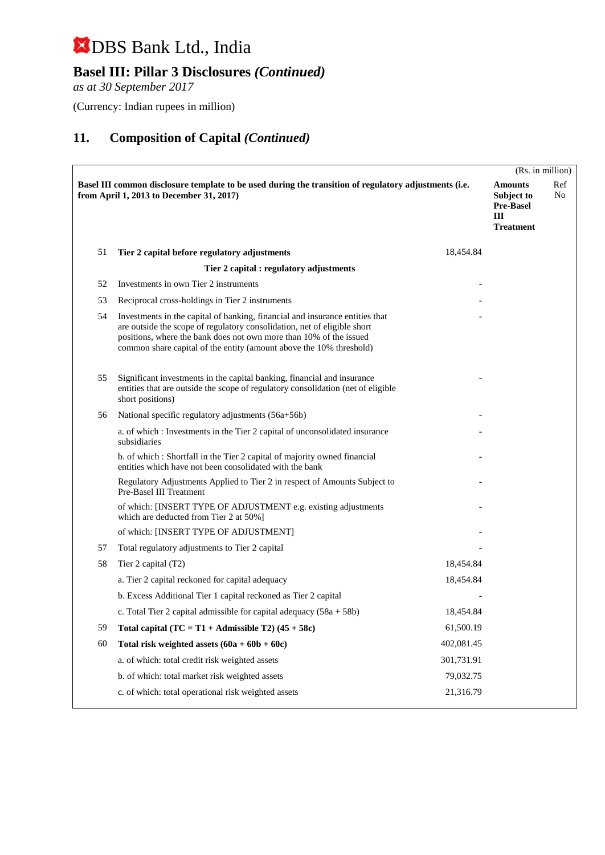## **Basel III: Pillar 3 Disclosures** *(Continued)*

*as at 30 September 2017*

(Currency: Indian rupees in million)

|    |                                                                                                                                                                                                                                                                                                       |            |                                                                           | (Rs. in million) |
|----|-------------------------------------------------------------------------------------------------------------------------------------------------------------------------------------------------------------------------------------------------------------------------------------------------------|------------|---------------------------------------------------------------------------|------------------|
|    | Basel III common disclosure template to be used during the transition of regulatory adjustments (i.e.<br>from April 1, 2013 to December 31, 2017)                                                                                                                                                     |            | <b>Amounts</b><br>Subject to<br><b>Pre-Basel</b><br>Ш<br><b>Treatment</b> | Ref<br>No        |
| 51 | Tier 2 capital before regulatory adjustments                                                                                                                                                                                                                                                          | 18,454.84  |                                                                           |                  |
|    | Tier 2 capital : regulatory adjustments                                                                                                                                                                                                                                                               |            |                                                                           |                  |
| 52 | Investments in own Tier 2 instruments                                                                                                                                                                                                                                                                 |            |                                                                           |                  |
| 53 | Reciprocal cross-holdings in Tier 2 instruments                                                                                                                                                                                                                                                       |            |                                                                           |                  |
| 54 | Investments in the capital of banking, financial and insurance entities that<br>are outside the scope of regulatory consolidation, net of eligible short<br>positions, where the bank does not own more than 10% of the issued<br>common share capital of the entity (amount above the 10% threshold) |            |                                                                           |                  |
| 55 | Significant investments in the capital banking, financial and insurance<br>entities that are outside the scope of regulatory consolidation (net of eligible<br>short positions)                                                                                                                       |            |                                                                           |                  |
| 56 | National specific regulatory adjustments (56a+56b)                                                                                                                                                                                                                                                    |            |                                                                           |                  |
|    | a. of which: Investments in the Tier 2 capital of unconsolidated insurance<br>subsidiaries                                                                                                                                                                                                            |            |                                                                           |                  |
|    | b. of which: Shortfall in the Tier 2 capital of majority owned financial<br>entities which have not been consolidated with the bank                                                                                                                                                                   |            |                                                                           |                  |
|    | Regulatory Adjustments Applied to Tier 2 in respect of Amounts Subject to<br>Pre-Basel III Treatment                                                                                                                                                                                                  |            |                                                                           |                  |
|    | of which: [INSERT TYPE OF ADJUSTMENT e.g. existing adjustments<br>which are deducted from Tier 2 at 50%]                                                                                                                                                                                              |            |                                                                           |                  |
|    | of which: [INSERT TYPE OF ADJUSTMENT]                                                                                                                                                                                                                                                                 |            |                                                                           |                  |
| 57 | Total regulatory adjustments to Tier 2 capital                                                                                                                                                                                                                                                        |            |                                                                           |                  |
| 58 | Tier 2 capital (T2)                                                                                                                                                                                                                                                                                   | 18,454.84  |                                                                           |                  |
|    | a. Tier 2 capital reckoned for capital adequacy                                                                                                                                                                                                                                                       | 18,454.84  |                                                                           |                  |
|    | b. Excess Additional Tier 1 capital reckoned as Tier 2 capital                                                                                                                                                                                                                                        |            |                                                                           |                  |
|    | c. Total Tier 2 capital admissible for capital adequacy $(58a + 58b)$                                                                                                                                                                                                                                 | 18,454.84  |                                                                           |                  |
| 59 | Total capital $(TC = T1 + \text{Admissible } T2)$ (45 + 58c)                                                                                                                                                                                                                                          | 61,500.19  |                                                                           |                  |
| 60 | Total risk weighted assets $(60a + 60b + 60c)$                                                                                                                                                                                                                                                        | 402,081.45 |                                                                           |                  |
|    | a. of which: total credit risk weighted assets                                                                                                                                                                                                                                                        | 301,731.91 |                                                                           |                  |
|    | b. of which: total market risk weighted assets                                                                                                                                                                                                                                                        | 79,032.75  |                                                                           |                  |
|    | c. of which: total operational risk weighted assets                                                                                                                                                                                                                                                   | 21,316.79  |                                                                           |                  |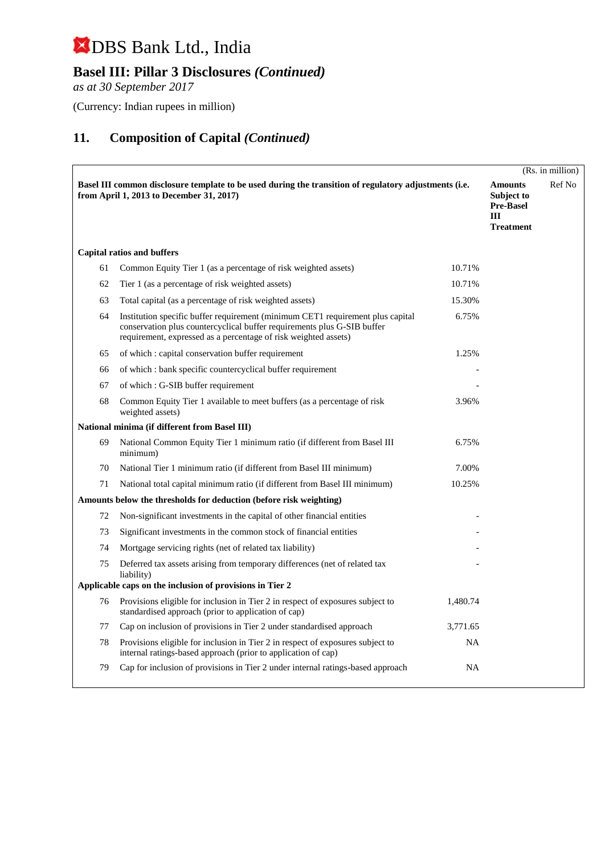## **Basel III: Pillar 3 Disclosures** *(Continued)*

*as at 30 September 2017*

(Currency: Indian rupees in million)

|    |                                                                                                                                                                                                                               |           |                                                                           | (Rs. in million) |
|----|-------------------------------------------------------------------------------------------------------------------------------------------------------------------------------------------------------------------------------|-----------|---------------------------------------------------------------------------|------------------|
|    | Basel III common disclosure template to be used during the transition of regulatory adjustments (i.e.<br>from April 1, 2013 to December 31, 2017)                                                                             |           | <b>Amounts</b><br>Subject to<br><b>Pre-Basel</b><br>Ш<br><b>Treatment</b> | Ref No           |
|    | <b>Capital ratios and buffers</b>                                                                                                                                                                                             |           |                                                                           |                  |
| 61 | Common Equity Tier 1 (as a percentage of risk weighted assets)                                                                                                                                                                | 10.71%    |                                                                           |                  |
| 62 | Tier 1 (as a percentage of risk weighted assets)                                                                                                                                                                              | 10.71%    |                                                                           |                  |
| 63 | Total capital (as a percentage of risk weighted assets)                                                                                                                                                                       | 15.30%    |                                                                           |                  |
| 64 | Institution specific buffer requirement (minimum CET1 requirement plus capital)<br>conservation plus countercyclical buffer requirements plus G-SIB buffer<br>requirement, expressed as a percentage of risk weighted assets) | 6.75%     |                                                                           |                  |
| 65 | of which : capital conservation buffer requirement                                                                                                                                                                            | 1.25%     |                                                                           |                  |
| 66 | of which : bank specific countercyclical buffer requirement                                                                                                                                                                   |           |                                                                           |                  |
| 67 | of which : G-SIB buffer requirement                                                                                                                                                                                           |           |                                                                           |                  |
| 68 | Common Equity Tier 1 available to meet buffers (as a percentage of risk<br>weighted assets)                                                                                                                                   | 3.96%     |                                                                           |                  |
|    | National minima (if different from Basel III)                                                                                                                                                                                 |           |                                                                           |                  |
| 69 | National Common Equity Tier 1 minimum ratio (if different from Basel III)<br>minimum)                                                                                                                                         | 6.75%     |                                                                           |                  |
| 70 | National Tier 1 minimum ratio (if different from Basel III minimum)                                                                                                                                                           | 7.00%     |                                                                           |                  |
| 71 | National total capital minimum ratio (if different from Basel III minimum)                                                                                                                                                    | 10.25%    |                                                                           |                  |
|    | Amounts below the thresholds for deduction (before risk weighting)                                                                                                                                                            |           |                                                                           |                  |
| 72 | Non-significant investments in the capital of other financial entities                                                                                                                                                        |           |                                                                           |                  |
| 73 | Significant investments in the common stock of financial entities                                                                                                                                                             |           |                                                                           |                  |
| 74 | Mortgage servicing rights (net of related tax liability)                                                                                                                                                                      |           |                                                                           |                  |
| 75 | Deferred tax assets arising from temporary differences (net of related tax<br>liability)                                                                                                                                      |           |                                                                           |                  |
|    | Applicable caps on the inclusion of provisions in Tier 2                                                                                                                                                                      |           |                                                                           |                  |
| 76 | Provisions eligible for inclusion in Tier 2 in respect of exposures subject to<br>standardised approach (prior to application of cap)                                                                                         | 1,480.74  |                                                                           |                  |
| 77 | Cap on inclusion of provisions in Tier 2 under standardised approach                                                                                                                                                          | 3,771.65  |                                                                           |                  |
| 78 | Provisions eligible for inclusion in Tier 2 in respect of exposures subject to<br>internal ratings-based approach (prior to application of cap)                                                                               | <b>NA</b> |                                                                           |                  |
| 79 | Cap for inclusion of provisions in Tier 2 under internal ratings-based approach                                                                                                                                               | NA        |                                                                           |                  |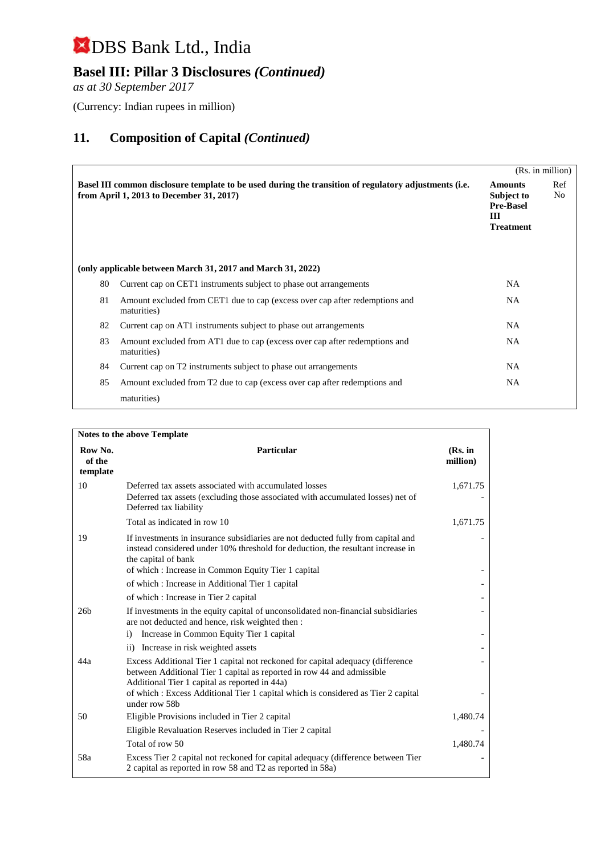## **Basel III: Pillar 3 Disclosures** *(Continued)*

*as at 30 September 2017*

(Currency: Indian rupees in million)

|    |                                                                                                                                                   |                                                                           | (Rs. in million)      |
|----|---------------------------------------------------------------------------------------------------------------------------------------------------|---------------------------------------------------------------------------|-----------------------|
|    | Basel III common disclosure template to be used during the transition of regulatory adjustments (i.e.<br>from April 1, 2013 to December 31, 2017) | <b>Amounts</b><br>Subject to<br><b>Pre-Basel</b><br>Ш<br><b>Treatment</b> | Ref<br>N <sub>o</sub> |
|    | (only applicable between March 31, 2017 and March 31, 2022)                                                                                       |                                                                           |                       |
| 80 | Current cap on CET1 instruments subject to phase out arrangements                                                                                 | NA.                                                                       |                       |
| 81 | Amount excluded from CET1 due to cap (excess over cap after redemptions and<br>maturities)                                                        | NA.                                                                       |                       |
| 82 | Current cap on AT1 instruments subject to phase out arrangements                                                                                  | NA.                                                                       |                       |
| 83 | Amount excluded from AT1 due to cap (excess over cap after redemptions and<br>maturities)                                                         | NA.                                                                       |                       |
| 84 | Current cap on T2 instruments subject to phase out arrangements                                                                                   | NA                                                                        |                       |
| 85 | Amount excluded from T2 due to cap (excess over cap after redemptions and                                                                         | NA                                                                        |                       |
|    | maturities)                                                                                                                                       |                                                                           |                       |

| Notes to the above Template   |                                                                                                                                                                                                           |                     |  |
|-------------------------------|-----------------------------------------------------------------------------------------------------------------------------------------------------------------------------------------------------------|---------------------|--|
| Row No.<br>of the<br>template | Particular                                                                                                                                                                                                | (Rs. in<br>million) |  |
| 10                            | Deferred tax assets associated with accumulated losses                                                                                                                                                    | 1,671.75            |  |
|                               | Deferred tax assets (excluding those associated with accumulated losses) net of<br>Deferred tax liability                                                                                                 |                     |  |
|                               | Total as indicated in row 10                                                                                                                                                                              | 1,671.75            |  |
| 19                            | If investments in insurance subsidiaries are not deducted fully from capital and<br>instead considered under 10% threshold for deduction, the resultant increase in<br>the capital of bank                |                     |  |
|                               | of which: Increase in Common Equity Tier 1 capital                                                                                                                                                        |                     |  |
|                               | of which: Increase in Additional Tier 1 capital                                                                                                                                                           |                     |  |
|                               | of which : Increase in Tier 2 capital                                                                                                                                                                     |                     |  |
| 26 <sub>b</sub>               | If investments in the equity capital of unconsolidated non-financial subsidiaries<br>are not deducted and hence, risk weighted then :                                                                     |                     |  |
|                               | Increase in Common Equity Tier 1 capital<br>$\ddot{1}$                                                                                                                                                    |                     |  |
|                               | ii) Increase in risk weighted assets                                                                                                                                                                      |                     |  |
| 44a                           | Excess Additional Tier 1 capital not reckoned for capital adequacy (difference<br>between Additional Tier 1 capital as reported in row 44 and admissible<br>Additional Tier 1 capital as reported in 44a) |                     |  |
|                               | of which : Excess Additional Tier 1 capital which is considered as Tier 2 capital<br>under row 58b                                                                                                        |                     |  |
| 50                            | Eligible Provisions included in Tier 2 capital                                                                                                                                                            | 1,480.74            |  |
|                               | Eligible Revaluation Reserves included in Tier 2 capital                                                                                                                                                  |                     |  |
|                               | Total of row 50                                                                                                                                                                                           | 1,480.74            |  |
| 58a                           | Excess Tier 2 capital not reckoned for capital adequacy (difference between Tier<br>2 capital as reported in row 58 and T2 as reported in 58a)                                                            |                     |  |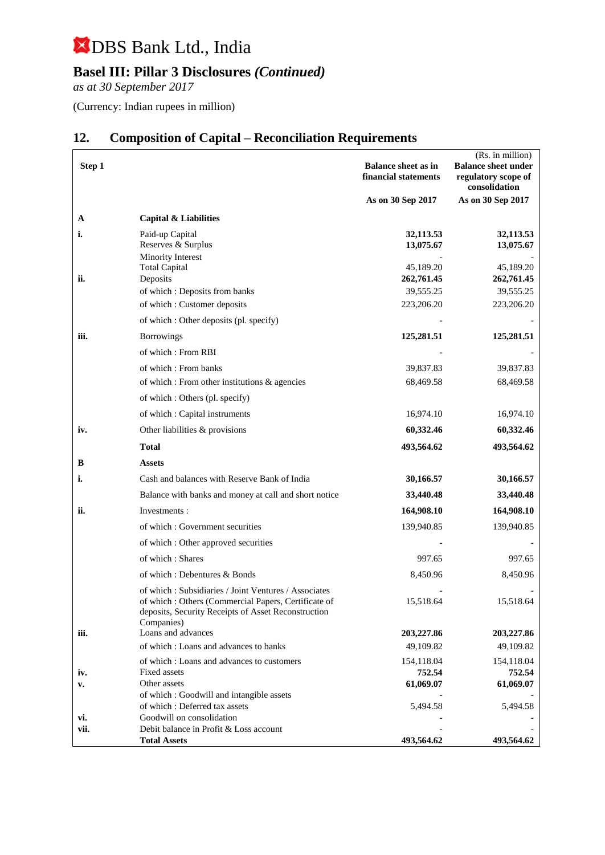## **Basel III: Pillar 3 Disclosures** *(Continued)*

*as at 30 September 2017*

(Currency: Indian rupees in million)

|        |                                                                                                                                                                                  |                                                    | (Rs. in million)                                                   |
|--------|----------------------------------------------------------------------------------------------------------------------------------------------------------------------------------|----------------------------------------------------|--------------------------------------------------------------------|
| Step 1 |                                                                                                                                                                                  | <b>Balance sheet as in</b><br>financial statements | <b>Balance sheet under</b><br>regulatory scope of<br>consolidation |
|        |                                                                                                                                                                                  | As on 30 Sep 2017                                  | As on 30 Sep 2017                                                  |
| A      | Capital & Liabilities                                                                                                                                                            |                                                    |                                                                    |
| i.     | Paid-up Capital<br>Reserves & Surplus<br>Minority Interest                                                                                                                       | 32,113.53<br>13,075.67                             | 32,113.53<br>13,075.67                                             |
|        | <b>Total Capital</b>                                                                                                                                                             | 45,189.20                                          | 45,189.20                                                          |
| ii.    | Deposits                                                                                                                                                                         | 262,761.45                                         | 262,761.45                                                         |
|        | of which: Deposits from banks                                                                                                                                                    | 39,555.25                                          | 39,555.25                                                          |
|        | of which: Customer deposits                                                                                                                                                      | 223,206.20                                         | 223,206.20                                                         |
|        | of which : Other deposits (pl. specify)                                                                                                                                          |                                                    |                                                                    |
| iii.   | <b>Borrowings</b>                                                                                                                                                                | 125,281.51                                         | 125,281.51                                                         |
|        | of which: From RBI                                                                                                                                                               |                                                    |                                                                    |
|        | of which: From banks                                                                                                                                                             | 39,837.83                                          | 39,837.83                                                          |
|        | of which : From other institutions & agencies                                                                                                                                    | 68,469.58                                          | 68,469.58                                                          |
|        | of which : Others (pl. specify)                                                                                                                                                  |                                                    |                                                                    |
|        | of which : Capital instruments                                                                                                                                                   | 16,974.10                                          | 16,974.10                                                          |
| iv.    | Other liabilities & provisions                                                                                                                                                   | 60,332.46                                          | 60,332.46                                                          |
|        | Total                                                                                                                                                                            | 493,564.62                                         | 493,564.62                                                         |
| в      | <b>Assets</b>                                                                                                                                                                    |                                                    |                                                                    |
| i.     | Cash and balances with Reserve Bank of India                                                                                                                                     | 30,166.57                                          | 30,166.57                                                          |
|        | Balance with banks and money at call and short notice                                                                                                                            | 33,440.48                                          | 33,440.48                                                          |
| ii.    | Investments:                                                                                                                                                                     | 164,908.10                                         | 164,908.10                                                         |
|        | of which: Government securities                                                                                                                                                  | 139,940.85                                         | 139,940.85                                                         |
|        | of which: Other approved securities                                                                                                                                              |                                                    |                                                                    |
|        | of which: Shares                                                                                                                                                                 | 997.65                                             | 997.65                                                             |
|        | of which: Debentures & Bonds                                                                                                                                                     | 8,450.96                                           | 8,450.96                                                           |
|        | of which: Subsidiaries / Joint Ventures / Associates<br>of which: Others (Commercial Papers, Certificate of<br>deposits, Security Receipts of Asset Reconstruction<br>Companies) | 15,518.64                                          | 15,518.64                                                          |
| iii.   | Loans and advances                                                                                                                                                               | 203,227.86                                         | 203,227.86                                                         |
|        | of which: Loans and advances to banks                                                                                                                                            | 49,109.82                                          | 49,109.82                                                          |
| iv.    | of which: Loans and advances to customers<br>Fixed assets                                                                                                                        | 154,118.04<br>752.54                               | 154,118.04<br>752.54                                               |
| v.     | Other assets                                                                                                                                                                     | 61,069.07                                          | 61,069.07                                                          |
|        | of which: Goodwill and intangible assets<br>of which: Deferred tax assets                                                                                                        |                                                    |                                                                    |
| vi.    | Goodwill on consolidation                                                                                                                                                        | 5,494.58                                           | 5,494.58                                                           |
| vii.   | Debit balance in Profit & Loss account                                                                                                                                           |                                                    |                                                                    |
|        | <b>Total Assets</b>                                                                                                                                                              | 493,564.62                                         | 493,564.62                                                         |

## **12. Composition of Capital – Reconciliation Requirements**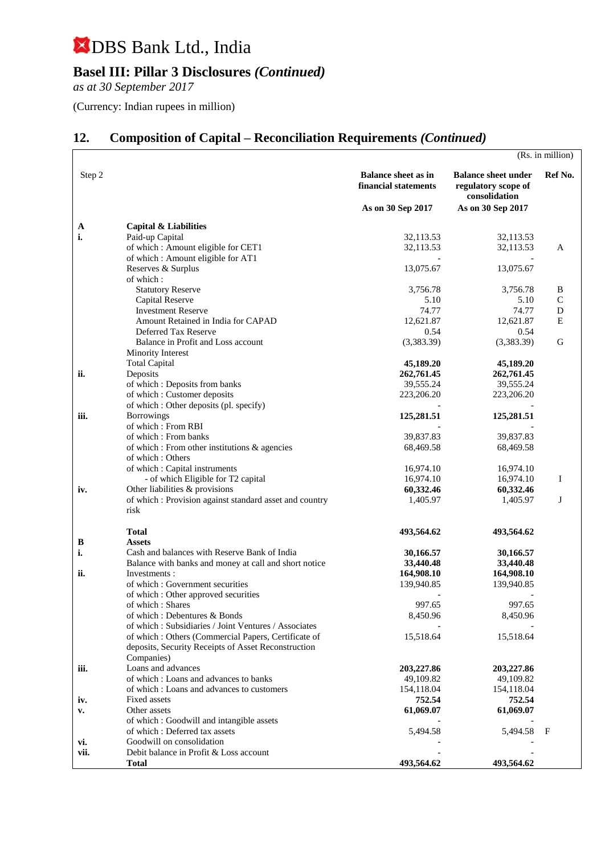## **Basel III: Pillar 3 Disclosures** *(Continued)*

*as at 30 September 2017*

(Currency: Indian rupees in million)

## **12. Composition of Capital – Reconciliation Requirements** *(Continued)*

|        |                                                                          |                                                    |                                                                    | (Rs. in million) |
|--------|--------------------------------------------------------------------------|----------------------------------------------------|--------------------------------------------------------------------|------------------|
| Step 2 |                                                                          | <b>Balance sheet as in</b><br>financial statements | <b>Balance sheet under</b><br>regulatory scope of<br>consolidation | Ref No.          |
|        |                                                                          | As on 30 Sep 2017                                  | As on 30 Sep 2017                                                  |                  |
| A      | <b>Capital &amp; Liabilities</b>                                         |                                                    |                                                                    |                  |
| i.     | Paid-up Capital                                                          | 32,113.53                                          | 32,113.53                                                          |                  |
|        | of which: Amount eligible for CET1                                       | 32,113.53                                          | 32,113.53                                                          | A                |
|        | of which: Amount eligible for AT1                                        |                                                    |                                                                    |                  |
|        | Reserves & Surplus                                                       | 13,075.67                                          | 13,075.67                                                          |                  |
|        | of which:<br><b>Statutory Reserve</b>                                    | 3,756.78                                           | 3,756.78                                                           | B                |
|        | Capital Reserve                                                          | 5.10                                               | 5.10                                                               | $\mathbf C$      |
|        | <b>Investment Reserve</b>                                                | 74.77                                              | 74.77                                                              | D                |
|        | Amount Retained in India for CAPAD                                       | 12,621.87                                          | 12,621.87                                                          | Ε                |
|        | Deferred Tax Reserve                                                     | 0.54                                               | 0.54                                                               |                  |
|        | Balance in Profit and Loss account                                       | (3,383.39)                                         | (3,383.39)                                                         | G                |
|        | Minority Interest                                                        |                                                    |                                                                    |                  |
| ii.    | <b>Total Capital</b><br>Deposits                                         | 45,189.20<br>262,761.45                            | 45,189.20<br>262,761.45                                            |                  |
|        | of which: Deposits from banks                                            | 39,555.24                                          | 39,555.24                                                          |                  |
|        | of which : Customer deposits                                             | 223,206.20                                         | 223,206.20                                                         |                  |
|        | of which : Other deposits (pl. specify)                                  |                                                    |                                                                    |                  |
| iii.   | <b>Borrowings</b>                                                        | 125,281.51                                         | 125,281.51                                                         |                  |
|        | of which: From RBI                                                       |                                                    |                                                                    |                  |
|        | of which: From banks<br>of which : From other institutions & agencies    | 39,837.83<br>68,469.58                             | 39,837.83<br>68,469.58                                             |                  |
|        | of which: Others                                                         |                                                    |                                                                    |                  |
|        | of which: Capital instruments                                            | 16,974.10                                          | 16,974.10                                                          |                  |
|        | - of which Eligible for T2 capital                                       | 16,974.10                                          | 16,974.10                                                          | Ι                |
| iv.    | Other liabilities & provisions                                           | 60,332.46                                          | 60,332.46                                                          |                  |
|        | of which : Provision against standard asset and country                  | 1,405.97                                           | 1,405.97                                                           | J                |
|        | risk                                                                     |                                                    |                                                                    |                  |
|        | <b>Total</b>                                                             | 493,564.62                                         | 493,564.62                                                         |                  |
| B      | <b>Assets</b>                                                            |                                                    |                                                                    |                  |
| i.     | Cash and balances with Reserve Bank of India                             | 30,166.57                                          | 30,166.57                                                          |                  |
|        | Balance with banks and money at call and short notice                    | 33,440.48                                          | 33,440.48                                                          |                  |
| ii.    | Investments:                                                             | 164,908.10                                         | 164,908.10                                                         |                  |
|        | of which : Government securities<br>of which : Other approved securities | 139,940.85                                         | 139,940.85                                                         |                  |
|        | of which: Shares                                                         | 997.65                                             | 997.65                                                             |                  |
|        | of which: Debentures & Bonds                                             | 8,450.96                                           | 8,450.96                                                           |                  |
|        | of which: Subsidiaries / Joint Ventures / Associates                     |                                                    |                                                                    |                  |
|        | of which: Others (Commercial Papers, Certificate of                      | 15,518.64                                          | 15,518.64                                                          |                  |
|        | deposits, Security Receipts of Asset Reconstruction                      |                                                    |                                                                    |                  |
| iii.   | Companies)<br>Loans and advances                                         |                                                    |                                                                    |                  |
|        | of which: Loans and advances to banks                                    | 203,227.86<br>49,109.82                            | 203,227.86<br>49,109.82                                            |                  |
|        | of which: Loans and advances to customers                                | 154,118.04                                         | 154,118.04                                                         |                  |
| iv.    | Fixed assets                                                             | 752.54                                             | 752.54                                                             |                  |
| v.     | Other assets                                                             | 61,069.07                                          | 61,069.07                                                          |                  |
|        | of which: Goodwill and intangible assets                                 |                                                    |                                                                    |                  |
|        | of which: Deferred tax assets                                            | 5,494.58                                           | 5,494.58                                                           | F                |
| vi.    | Goodwill on consolidation                                                |                                                    |                                                                    |                  |
| vii.   | Debit balance in Profit & Loss account                                   | 493,564.62                                         | 493,564.62                                                         |                  |
|        | Total                                                                    |                                                    |                                                                    |                  |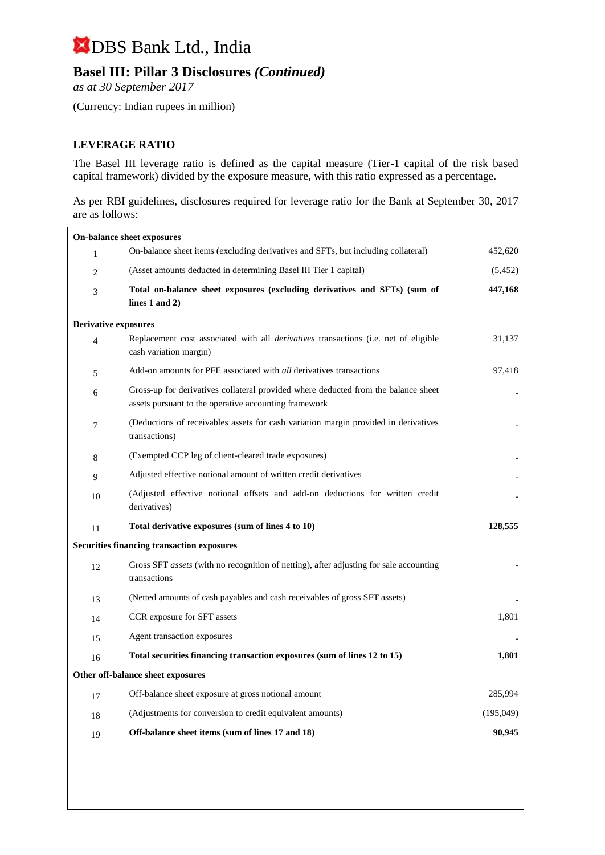## **Basel III: Pillar 3 Disclosures** *(Continued)*

*as at 30 September 2017*

(Currency: Indian rupees in million)

#### **LEVERAGE RATIO**

The Basel III leverage ratio is defined as the capital measure (Tier-1 capital of the risk based capital framework) divided by the exposure measure, with this ratio expressed as a percentage.

As per RBI guidelines, disclosures required for leverage ratio for the Bank at September 30, 2017 are as follows:

| On-balance sheet exposures                        |                                                                                                                                             |           |
|---------------------------------------------------|---------------------------------------------------------------------------------------------------------------------------------------------|-----------|
| 1                                                 | On-balance sheet items (excluding derivatives and SFTs, but including collateral)                                                           | 452,620   |
| $\overline{2}$                                    | (Asset amounts deducted in determining Basel III Tier 1 capital)                                                                            | (5,452)   |
| 3                                                 | Total on-balance sheet exposures (excluding derivatives and SFTs) (sum of<br>lines $1$ and $2)$                                             | 447,168   |
| <b>Derivative exposures</b>                       |                                                                                                                                             |           |
| $\overline{4}$                                    | Replacement cost associated with all <i>derivatives</i> transactions (i.e. net of eligible<br>cash variation margin)                        | 31,137    |
| 5                                                 | Add-on amounts for PFE associated with <i>all</i> derivatives transactions                                                                  | 97,418    |
| 6                                                 | Gross-up for derivatives collateral provided where deducted from the balance sheet<br>assets pursuant to the operative accounting framework |           |
| $\overline{7}$                                    | (Deductions of receivables assets for cash variation margin provided in derivatives<br>transactions)                                        |           |
| 8                                                 | (Exempted CCP leg of client-cleared trade exposures)                                                                                        |           |
| 9                                                 | Adjusted effective notional amount of written credit derivatives                                                                            |           |
| 10                                                | (Adjusted effective notional offsets and add-on deductions for written credit<br>derivatives)                                               |           |
| 11                                                | Total derivative exposures (sum of lines 4 to 10)                                                                                           | 128,555   |
| <b>Securities financing transaction exposures</b> |                                                                                                                                             |           |
| 12                                                | Gross SFT <i>assets</i> (with no recognition of netting), after adjusting for sale accounting<br>transactions                               |           |
| 13                                                | (Netted amounts of cash payables and cash receivables of gross SFT assets)                                                                  |           |
| 14                                                | CCR exposure for SFT assets                                                                                                                 | 1,801     |
| 15                                                | Agent transaction exposures                                                                                                                 |           |
| 16                                                | Total securities financing transaction exposures (sum of lines 12 to 15)                                                                    | 1,801     |
| Other off-balance sheet exposures                 |                                                                                                                                             |           |
| 17                                                | Off-balance sheet exposure at gross notional amount                                                                                         | 285,994   |
| 18                                                | (Adjustments for conversion to credit equivalent amounts)                                                                                   | (195,049) |
| 19                                                | Off-balance sheet items (sum of lines 17 and 18)                                                                                            | 90,945    |